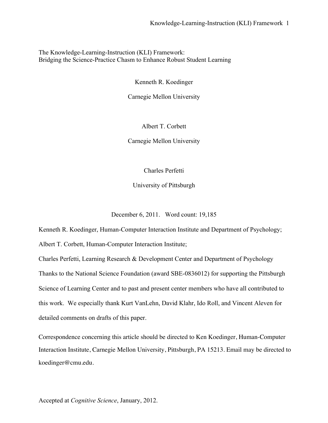The Knowledge-Learning-Instruction (KLI) Framework: Bridging the Science-Practice Chasm to Enhance Robust Student Learning

Kenneth R. Koedinger

Carnegie Mellon University

Albert T. Corbett

Carnegie Mellon University

Charles Perfetti

University of Pittsburgh

December 6, 2011. Word count: 19,185

Kenneth R. Koedinger, Human-Computer Interaction Institute and Department of Psychology;

Albert T. Corbett, Human-Computer Interaction Institute;

Charles Perfetti, Learning Research & Development Center and Department of Psychology Thanks to the National Science Foundation (award SBE-0836012) for supporting the Pittsburgh Science of Learning Center and to past and present center members who have all contributed to this work. We especially thank Kurt VanLehn, David Klahr, Ido Roll, and Vincent Aleven for detailed comments on drafts of this paper.

Correspondence concerning this article should be directed to Ken Koedinger, Human-Computer Interaction Institute, Carnegie Mellon University, Pittsburgh, PA 15213. Email may be directed to koedinger@cmu.edu.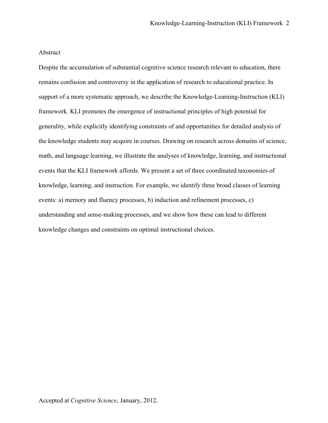#### Abstract

Despite the accumulation of substantial cognitive science research relevant to education, there remains confusion and controversy in the application of research to educational practice. In support of a more systematic approach, we describe the Knowledge-Learning-Instruction (KLI) framework. KLI promotes the emergence of instructional principles of high potential for generality, while explicitly identifying constraints of and opportunities for detailed analysis of the knowledge students may acquire in courses. Drawing on research across domains of science, math, and language learning, we illustrate the analyses of knowledge, learning, and instructional events that the KLI framework affords. We present a set of three coordinated taxonomies of knowledge, learning, and instruction. For example, we identify three broad classes of learning events: a) memory and fluency processes, b) induction and refinement processes, c) understanding and sense-making processes, and we show how these can lead to different knowledge changes and constraints on optimal instructional choices.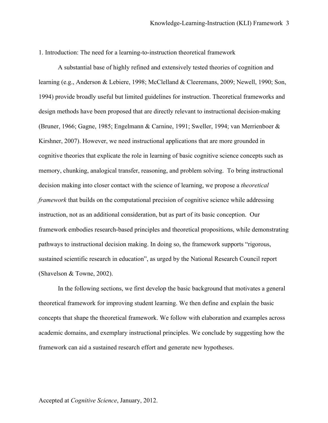1. Introduction: The need for a learning-to-instruction theoretical framework

A substantial base of highly refined and extensively tested theories of cognition and learning (e.g., Anderson & Lebiere, 1998; McClelland & Cleeremans, 2009; Newell, 1990; Son, 1994) provide broadly useful but limited guidelines for instruction. Theoretical frameworks and design methods have been proposed that are directly relevant to instructional decision-making (Bruner, 1966; Gagne, 1985; Engelmann & Carnine, 1991; Sweller, 1994; van Merrienboer & Kirshner, 2007). However, we need instructional applications that are more grounded in cognitive theories that explicate the role in learning of basic cognitive science concepts such as memory, chunking, analogical transfer, reasoning, and problem solving. To bring instructional decision making into closer contact with the science of learning, we propose a *theoretical framework* that builds on the computational precision of cognitive science while addressing instruction, not as an additional consideration, but as part of its basic conception. Our framework embodies research-based principles and theoretical propositions, while demonstrating pathways to instructional decision making. In doing so, the framework supports "rigorous, sustained scientific research in education", as urged by the National Research Council report (Shavelson & Towne, 2002).

In the following sections, we first develop the basic background that motivates a general theoretical framework for improving student learning. We then define and explain the basic concepts that shape the theoretical framework. We follow with elaboration and examples across academic domains, and exemplary instructional principles. We conclude by suggesting how the framework can aid a sustained research effort and generate new hypotheses.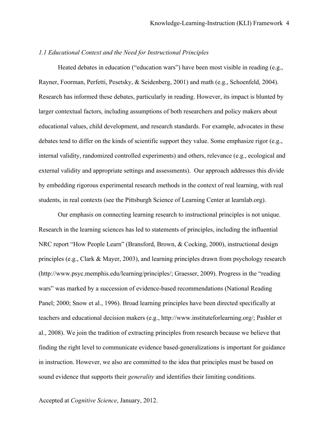#### *1.1 Educational Context and the Need for Instructional Principles*

Heated debates in education ("education wars") have been most visible in reading (e.g., Rayner, Foorman, Perfetti, Pesetsky, & Seidenberg, 2001) and math (e.g., Schoenfeld, 2004). Research has informed these debates, particularly in reading. However, its impact is blunted by larger contextual factors, including assumptions of both researchers and policy makers about educational values, child development, and research standards. For example, advocates in these debates tend to differ on the kinds of scientific support they value. Some emphasize rigor (e.g., internal validity, randomized controlled experiments) and others, relevance (e.g., ecological and external validity and appropriate settings and assessments). Our approach addresses this divide by embedding rigorous experimental research methods in the context of real learning, with real students, in real contexts (see the Pittsburgh Science of Learning Center at learnlab.org).

Our emphasis on connecting learning research to instructional principles is not unique. Research in the learning sciences has led to statements of principles, including the influential NRC report "How People Learn" (Bransford, Brown, & Cocking, 2000), instructional design principles (e.g., Clark & Mayer, 2003), and learning principles drawn from psychology research (http://www.psyc.memphis.edu/learning/principles/; Graesser, 2009). Progress in the "reading wars" was marked by a succession of evidence-based recommendations (National Reading Panel; 2000; Snow et al., 1996). Broad learning principles have been directed specifically at teachers and educational decision makers (e.g., http://www.instituteforlearning.org/; Pashler et al., 2008). We join the tradition of extracting principles from research because we believe that finding the right level to communicate evidence based-generalizations is important for guidance in instruction. However, we also are committed to the idea that principles must be based on sound evidence that supports their *generality* and identifies their limiting conditions.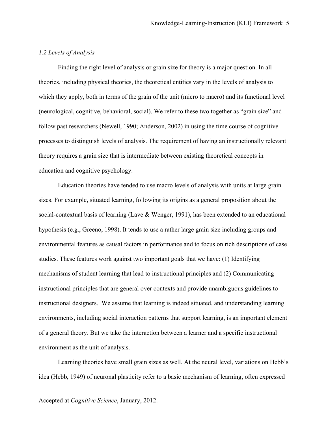## *1.2 Levels of Analysis*

Finding the right level of analysis or grain size for theory is a major question. In all theories, including physical theories, the theoretical entities vary in the levels of analysis to which they apply, both in terms of the grain of the unit (micro to macro) and its functional level (neurological, cognitive, behavioral, social). We refer to these two together as "grain size" and follow past researchers (Newell, 1990; Anderson, 2002) in using the time course of cognitive processes to distinguish levels of analysis. The requirement of having an instructionally relevant theory requires a grain size that is intermediate between existing theoretical concepts in education and cognitive psychology.

Education theories have tended to use macro levels of analysis with units at large grain sizes. For example, situated learning, following its origins as a general proposition about the social-contextual basis of learning (Lave & Wenger, 1991), has been extended to an educational hypothesis (e.g., Greeno, 1998). It tends to use a rather large grain size including groups and environmental features as causal factors in performance and to focus on rich descriptions of case studies. These features work against two important goals that we have: (1) Identifying mechanisms of student learning that lead to instructional principles and (2) Communicating instructional principles that are general over contexts and provide unambiguous guidelines to instructional designers. We assume that learning is indeed situated, and understanding learning environments, including social interaction patterns that support learning, is an important element of a general theory. But we take the interaction between a learner and a specific instructional environment as the unit of analysis.

Learning theories have small grain sizes as well. At the neural level, variations on Hebb's idea (Hebb, 1949) of neuronal plasticity refer to a basic mechanism of learning, often expressed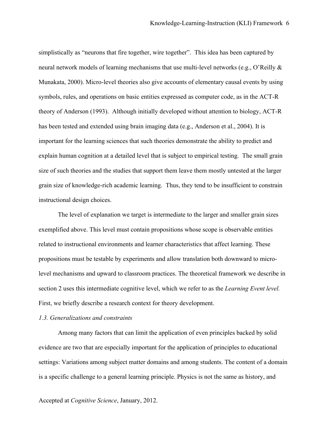simplistically as "neurons that fire together, wire together". This idea has been captured by neural network models of learning mechanisms that use multi-level networks (e.g., O'Reilly & Munakata, 2000). Micro-level theories also give accounts of elementary causal events by using symbols, rules, and operations on basic entities expressed as computer code, as in the ACT-R theory of Anderson (1993). Although initially developed without attention to biology, ACT-R has been tested and extended using brain imaging data (e.g., Anderson et al., 2004). It is important for the learning sciences that such theories demonstrate the ability to predict and explain human cognition at a detailed level that is subject to empirical testing. The small grain size of such theories and the studies that support them leave them mostly untested at the larger grain size of knowledge-rich academic learning. Thus, they tend to be insufficient to constrain instructional design choices.

The level of explanation we target is intermediate to the larger and smaller grain sizes exemplified above. This level must contain propositions whose scope is observable entities related to instructional environments and learner characteristics that affect learning. These propositions must be testable by experiments and allow translation both downward to microlevel mechanisms and upward to classroom practices. The theoretical framework we describe in section 2 uses this intermediate cognitive level, which we refer to as the *Learning Event level.* First, we briefly describe a research context for theory development.

## *1.3. Generalizations and constraints*

Among many factors that can limit the application of even principles backed by solid evidence are two that are especially important for the application of principles to educational settings: Variations among subject matter domains and among students. The content of a domain is a specific challenge to a general learning principle. Physics is not the same as history, and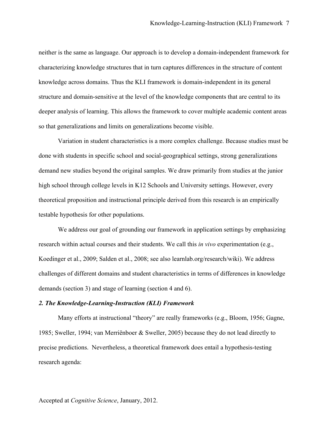neither is the same as language. Our approach is to develop a domain-independent framework for characterizing knowledge structures that in turn captures differences in the structure of content knowledge across domains. Thus the KLI framework is domain-independent in its general structure and domain-sensitive at the level of the knowledge components that are central to its deeper analysis of learning. This allows the framework to cover multiple academic content areas so that generalizations and limits on generalizations become visible.

Variation in student characteristics is a more complex challenge. Because studies must be done with students in specific school and social-geographical settings, strong generalizations demand new studies beyond the original samples. We draw primarily from studies at the junior high school through college levels in K12 Schools and University settings. However, every theoretical proposition and instructional principle derived from this research is an empirically testable hypothesis for other populations.

We address our goal of grounding our framework in application settings by emphasizing research within actual courses and their students. We call this *in vivo* experimentation (e.g., Koedinger et al., 2009; Salden et al., 2008; see also learnlab.org/research/wiki). We address challenges of different domains and student characteristics in terms of differences in knowledge demands (section 3) and stage of learning (section 4 and 6).

#### *2. The Knowledge-Learning-Instruction (KLI) Framework*

Many efforts at instructional "theory" are really frameworks (e.g., Bloom, 1956; Gagne, 1985; Sweller, 1994; van Merriënboer & Sweller, 2005) because they do not lead directly to precise predictions. Nevertheless, a theoretical framework does entail a hypothesis-testing research agenda: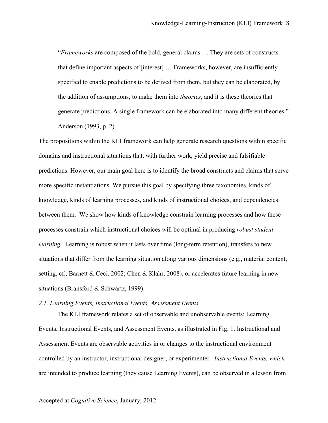"*Frameworks* are composed of the bold, general claims … They are sets of constructs that define important aspects of [interest] … Frameworks, however, are insufficiently specified to enable predictions to be derived from them, but they can be elaborated, by the addition of assumptions, to make them into *theories*, and it is these theories that generate predictions. A single framework can be elaborated into many different theories." Anderson (1993, p. 2)

The propositions within the KLI framework can help generate research questions within specific domains and instructional situations that, with further work, yield precise and falsifiable predictions. However, our main goal here is to identify the broad constructs and claims that serve more specific instantiations. We pursue this goal by specifying three taxonomies, kinds of knowledge, kinds of learning processes, and kinds of instructional choices, and dependencies between them. We show how kinds of knowledge constrain learning processes and how these processes constrain which instructional choices will be optimal in producing *robust student learning*. Learning is robust when it lasts over time (long-term retention), transfers to new situations that differ from the learning situation along various dimensions (e.g., material content, setting, cf., Barnett & Ceci, 2002; Chen & Klahr, 2008), or accelerates future learning in new situations (Bransford & Schwartz, 1999).

#### *2.1. Learning Events, Instructional Events, Assessment Events*

The KLI framework relates a set of observable and unobservable events: Learning Events, Instructional Events, and Assessment Events, as illustrated in Fig. 1. Instructional and Assessment Events are observable activities in or changes to the instructional environment controlled by an instructor, instructional designer, or experimenter. *Instructional Events, which* are intended to produce learning (they cause Learning Events), can be observed in a lesson from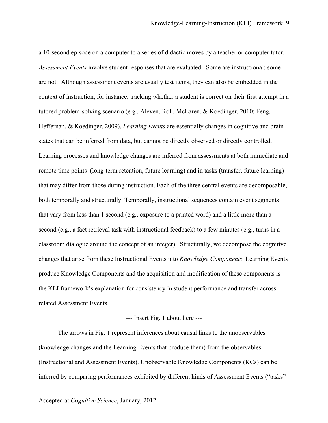a 10-second episode on a computer to a series of didactic moves by a teacher or computer tutor. *Assessment Events* involve student responses that are evaluated. Some are instructional; some are not. Although assessment events are usually test items, they can also be embedded in the context of instruction, for instance, tracking whether a student is correct on their first attempt in a tutored problem-solving scenario (e.g., Aleven, Roll, McLaren, & Koedinger, 2010; Feng, Heffernan, & Koedinger, 2009). *Learning Events* are essentially changes in cognitive and brain states that can be inferred from data, but cannot be directly observed or directly controlled. Learning processes and knowledge changes are inferred from assessments at both immediate and remote time points (long-term retention, future learning) and in tasks (transfer, future learning) that may differ from those during instruction. Each of the three central events are decomposable, both temporally and structurally. Temporally, instructional sequences contain event segments that vary from less than 1 second (e.g., exposure to a printed word) and a little more than a second (e.g., a fact retrieval task with instructional feedback) to a few minutes (e.g., turns in a classroom dialogue around the concept of an integer). Structurally, we decompose the cognitive changes that arise from these Instructional Events into *Knowledge Components*. Learning Events produce Knowledge Components and the acquisition and modification of these components is the KLI framework's explanation for consistency in student performance and transfer across related Assessment Events.

## --- Insert Fig. 1 about here ---

The arrows in Fig. 1 represent inferences about causal links to the unobservables (knowledge changes and the Learning Events that produce them) from the observables (Instructional and Assessment Events). Unobservable Knowledge Components (KCs) can be inferred by comparing performances exhibited by different kinds of Assessment Events ("tasks"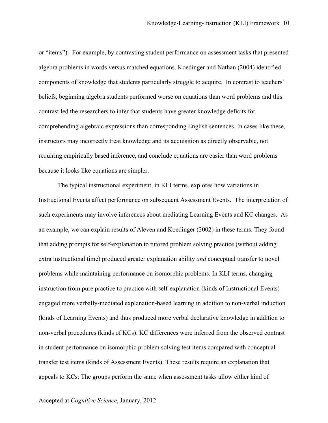or "items"). For example, by contrasting student performance on assessment tasks that presented algebra problems in words versus matched equations, Koedinger and Nathan (2004) identified components of knowledge that students particularly struggle to acquire. In contrast to teachers' beliefs, beginning algebra students performed worse on equations than word problems and this contrast led the researchers to infer that students have greater knowledge deficits for comprehending algebraic expressions than corresponding English sentences. In cases like these, instructors may incorrectly treat knowledge and its acquisition as directly observable, not requiring empirically based inference, and conclude equations are easier than word problems because it looks like equations are simpler.

The typical instructional experiment, in KLI terms, explores how variations in Instructional Events affect performance on subsequent Assessment Events. The interpretation of such experiments may involve inferences about mediating Learning Events and KC changes. As an example, we can explain results of Aleven and Koedinger (2002) in these terms. They found that adding prompts for self-explanation to tutored problem solving practice (without adding extra instructional time) produced greater explanation ability *and* conceptual transfer to novel problems while maintaining performance on isomorphic problems. In KLI terms, changing instruction from pure practice to practice with self-explanation (kinds of Instructional Events) engaged more verbally-mediated explanation-based learning in addition to non-verbal induction (kinds of Learning Events) and thus produced more verbal declarative knowledge in addition to non-verbal procedures (kinds of KCs). KC differences were inferred from the observed contrast in student performance on isomorphic problem solving test items compared with conceptual transfer test items (kinds of Assessment Events). These results require an explanation that appeals to KCs: The groups perform the same when assessment tasks allow either kind of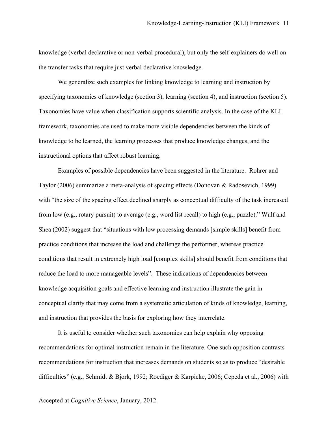knowledge (verbal declarative or non-verbal procedural), but only the self-explainers do well on the transfer tasks that require just verbal declarative knowledge.

We generalize such examples for linking knowledge to learning and instruction by specifying taxonomies of knowledge (section 3), learning (section 4), and instruction (section 5). Taxonomies have value when classification supports scientific analysis. In the case of the KLI framework, taxonomies are used to make more visible dependencies between the kinds of knowledge to be learned, the learning processes that produce knowledge changes, and the instructional options that affect robust learning.

Examples of possible dependencies have been suggested in the literature. Rohrer and Taylor (2006) summarize a meta-analysis of spacing effects (Donovan & Radosevich, 1999) with "the size of the spacing effect declined sharply as conceptual difficulty of the task increased from low (e.g., rotary pursuit) to average (e.g., word list recall) to high (e.g., puzzle)." Wulf and Shea (2002) suggest that "situations with low processing demands [simple skills] benefit from practice conditions that increase the load and challenge the performer, whereas practice conditions that result in extremely high load [complex skills] should benefit from conditions that reduce the load to more manageable levels". These indications of dependencies between knowledge acquisition goals and effective learning and instruction illustrate the gain in conceptual clarity that may come from a systematic articulation of kinds of knowledge, learning, and instruction that provides the basis for exploring how they interrelate.

It is useful to consider whether such taxonomies can help explain why opposing recommendations for optimal instruction remain in the literature. One such opposition contrasts recommendations for instruction that increases demands on students so as to produce "desirable difficulties" (e.g., Schmidt & Bjork, 1992; Roediger & Karpicke, 2006; Cepeda et al., 2006) with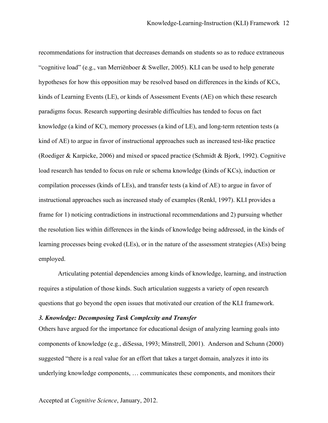recommendations for instruction that decreases demands on students so as to reduce extraneous "cognitive load" (e.g., van Merriënboer & Sweller, 2005). KLI can be used to help generate hypotheses for how this opposition may be resolved based on differences in the kinds of KCs, kinds of Learning Events (LE), or kinds of Assessment Events (AE) on which these research paradigms focus. Research supporting desirable difficulties has tended to focus on fact knowledge (a kind of KC), memory processes (a kind of LE), and long-term retention tests (a kind of AE) to argue in favor of instructional approaches such as increased test-like practice (Roediger & Karpicke, 2006) and mixed or spaced practice (Schmidt & Bjork, 1992). Cognitive load research has tended to focus on rule or schema knowledge (kinds of KCs), induction or compilation processes (kinds of LEs), and transfer tests (a kind of AE) to argue in favor of instructional approaches such as increased study of examples (Renkl, 1997). KLI provides a frame for 1) noticing contradictions in instructional recommendations and 2) pursuing whether the resolution lies within differences in the kinds of knowledge being addressed, in the kinds of learning processes being evoked (LEs), or in the nature of the assessment strategies (AEs) being employed.

Articulating potential dependencies among kinds of knowledge, learning, and instruction requires a stipulation of those kinds. Such articulation suggests a variety of open research questions that go beyond the open issues that motivated our creation of the KLI framework.

## *3. Knowledge: Decomposing Task Complexity and Transfer*

Others have argued for the importance for educational design of analyzing learning goals into components of knowledge (e.g., diSessa, 1993; Minstrell, 2001). Anderson and Schunn (2000) suggested "there is a real value for an effort that takes a target domain, analyzes it into its underlying knowledge components, … communicates these components, and monitors their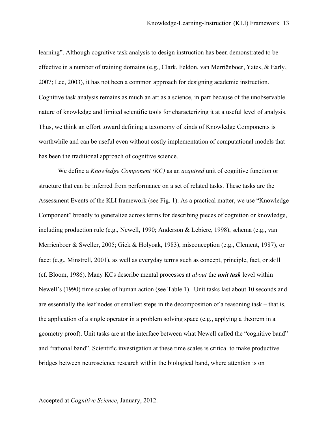learning". Although cognitive task analysis to design instruction has been demonstrated to be effective in a number of training domains (e.g., Clark, Feldon, van Merriënboer, Yates, & Early, 2007; Lee, 2003), it has not been a common approach for designing academic instruction. Cognitive task analysis remains as much an art as a science, in part because of the unobservable nature of knowledge and limited scientific tools for characterizing it at a useful level of analysis. Thus, we think an effort toward defining a taxonomy of kinds of Knowledge Components is worthwhile and can be useful even without costly implementation of computational models that has been the traditional approach of cognitive science.

We define a *Knowledge Component (KC)* as an *acquired* unit of cognitive function or structure that can be inferred from performance on a set of related tasks. These tasks are the Assessment Events of the KLI framework (see Fig. 1). As a practical matter, we use "Knowledge Component" broadly to generalize across terms for describing pieces of cognition or knowledge, including production rule (e.g., Newell, 1990; Anderson & Lebiere, 1998), schema (e.g., van Merriënboer & Sweller, 2005; Gick & Holyoak, 1983), misconception (e.g., Clement, 1987), or facet (e.g., Minstrell, 2001), as well as everyday terms such as concept, principle, fact, or skill (cf. Bloom, 1986). Many KCs describe mental processes at *about* the *unit task* level within Newell's (1990) time scales of human action (see Table 1). Unit tasks last about 10 seconds and are essentially the leaf nodes or smallest steps in the decomposition of a reasoning task – that is, the application of a single operator in a problem solving space (e.g., applying a theorem in a geometry proof). Unit tasks are at the interface between what Newell called the "cognitive band" and "rational band". Scientific investigation at these time scales is critical to make productive bridges between neuroscience research within the biological band, where attention is on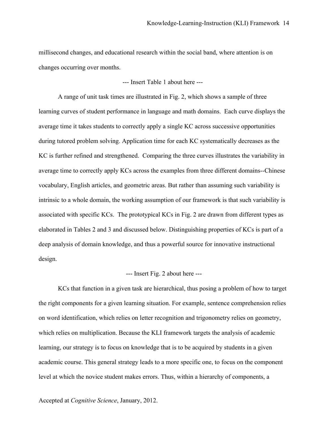millisecond changes, and educational research within the social band, where attention is on changes occurring over months.

--- Insert Table 1 about here ---

A range of unit task times are illustrated in Fig. 2, which shows a sample of three learning curves of student performance in language and math domains. Each curve displays the average time it takes students to correctly apply a single KC across successive opportunities during tutored problem solving. Application time for each KC systematically decreases as the KC is further refined and strengthened. Comparing the three curves illustrates the variability in average time to correctly apply KCs across the examples from three different domains--Chinese vocabulary, English articles, and geometric areas. But rather than assuming such variability is intrinsic to a whole domain, the working assumption of our framework is that such variability is associated with specific KCs. The prototypical KCs in Fig. 2 are drawn from different types as elaborated in Tables 2 and 3 and discussed below. Distinguishing properties of KCs is part of a deep analysis of domain knowledge, and thus a powerful source for innovative instructional design.

## --- Insert Fig. 2 about here ---

KCs that function in a given task are hierarchical, thus posing a problem of how to target the right components for a given learning situation. For example, sentence comprehension relies on word identification, which relies on letter recognition and trigonometry relies on geometry, which relies on multiplication. Because the KLI framework targets the analysis of academic learning, our strategy is to focus on knowledge that is to be acquired by students in a given academic course. This general strategy leads to a more specific one, to focus on the component level at which the novice student makes errors. Thus, within a hierarchy of components, a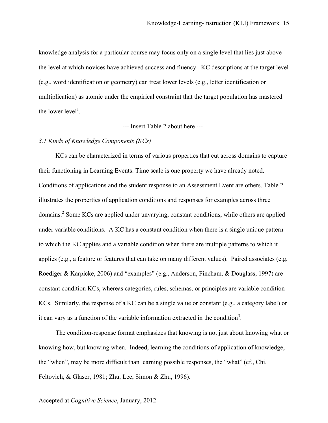knowledge analysis for a particular course may focus only on a single level that lies just above the level at which novices have achieved success and fluency. KC descriptions at the target level (e.g., word identification or geometry) can treat lower levels (e.g., letter identification or multiplication) as atomic under the empirical constraint that the target population has mastered the lower  $level<sup>1</sup>$ .

--- Insert Table 2 about here ---

#### *3.1 Kinds of Knowledge Components (KCs)*

KCs can be characterized in terms of various properties that cut across domains to capture their functioning in Learning Events. Time scale is one property we have already noted. Conditions of applications and the student response to an Assessment Event are others. Table 2 illustrates the properties of application conditions and responses for examples across three domains.<sup>2</sup> Some KCs are applied under unvarying, constant conditions, while others are applied under variable conditions. A KC has a constant condition when there is a single unique pattern to which the KC applies and a variable condition when there are multiple patterns to which it applies (e.g., a feature or features that can take on many different values). Paired associates (e.g, Roediger & Karpicke, 2006) and "examples" (e.g., Anderson, Fincham, & Douglass, 1997) are constant condition KCs, whereas categories, rules, schemas, or principles are variable condition KCs. Similarly, the response of a KC can be a single value or constant (e.g., a category label) or it can vary as a function of the variable information extracted in the condition<sup>3</sup>.

The condition-response format emphasizes that knowing is not just about knowing what or knowing how, but knowing when. Indeed, learning the conditions of application of knowledge, the "when", may be more difficult than learning possible responses, the "what" (cf., Chi, Feltovich, & Glaser, 1981; Zhu, Lee, Simon & Zhu, 1996).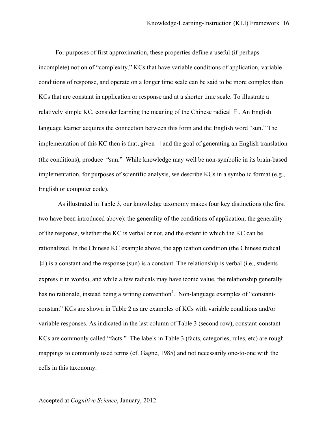For purposes of first approximation, these properties define a useful (if perhaps incomplete) notion of "complexity." KCs that have variable conditions of application, variable conditions of response, and operate on a longer time scale can be said to be more complex than KCs that are constant in application or response and at a shorter time scale. To illustrate a relatively simple KC, consider learning the meaning of the Chinese radical  $\exists$ . An English language learner acquires the connection between this form and the English word "sun." The implementation of this KC then is that, given  $\exists$  and the goal of generating an English translation (the conditions), produce "sun." While knowledge may well be non-symbolic in its brain-based implementation, for purposes of scientific analysis, we describe KCs in a symbolic format (e.g., English or computer code).

As illustrated in Table 3, our knowledge taxonomy makes four key distinctions (the first two have been introduced above): the generality of the conditions of application, the generality of the response, whether the KC is verbal or not, and the extent to which the KC can be rationalized. In the Chinese KC example above, the application condition (the Chinese radical  $\Box$ ) is a constant and the response (sun) is a constant. The relationship is verbal (i.e., students express it in words), and while a few radicals may have iconic value, the relationship generally has no rationale, instead being a writing convention<sup>4</sup>. Non-language examples of "constantconstant" KCs are shown in Table 2 as are examples of KCs with variable conditions and/or variable responses. As indicated in the last column of Table 3 (second row), constant-constant KCs are commonly called "facts." The labels in Table 3 (facts, categories, rules, etc) are rough mappings to commonly used terms (cf. Gagne, 1985) and not necessarily one-to-one with the cells in this taxonomy.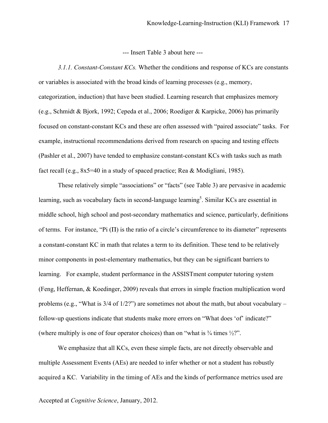--- Insert Table 3 about here ---

*3.1.1. Constant-Constant KCs.* Whether the conditions and response of KCs are constants or variables is associated with the broad kinds of learning processes (e.g., memory, categorization, induction) that have been studied. Learning research that emphasizes memory (e.g., Schmidt & Bjork, 1992; Cepeda et al., 2006; Roediger & Karpicke, 2006) has primarily focused on constant-constant KCs and these are often assessed with "paired associate" tasks. For example, instructional recommendations derived from research on spacing and testing effects (Pashler et al., 2007) have tended to emphasize constant-constant KCs with tasks such as math fact recall (e.g., 8x5=40 in a study of spaced practice; Rea & Modigliani, 1985).

These relatively simple "associations" or "facts" (see Table 3) are pervasive in academic learning, such as vocabulary facts in second-language learning<sup>5</sup>. Similar KCs are essential in middle school, high school and post-secondary mathematics and science, particularly, definitions of terms. For instance, "Pi (Π) is the ratio of a circle's circumference to its diameter" represents a constant-constant KC in math that relates a term to its definition. These tend to be relatively minor components in post-elementary mathematics, but they can be significant barriers to learning. For example, student performance in the ASSISTment computer tutoring system (Feng, Heffernan, & Koedinger, 2009) reveals that errors in simple fraction multiplication word problems (e.g., "What is 3/4 of 1/2?") are sometimes not about the math, but about vocabulary – follow-up questions indicate that students make more errors on "What does 'of' indicate?" (where multiply is one of four operator choices) than on "what is  $\frac{3}{4}$  times  $\frac{1}{2}$ ?".

We emphasize that all KCs, even these simple facts, are not directly observable and multiple Assessment Events (AEs) are needed to infer whether or not a student has robustly acquired a KC. Variability in the timing of AEs and the kinds of performance metrics used are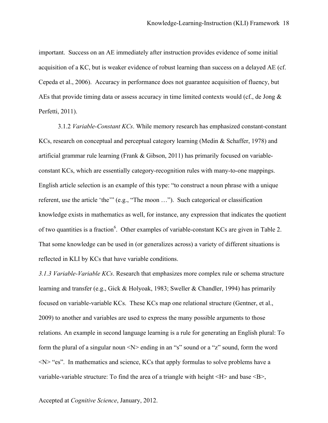important. Success on an AE immediately after instruction provides evidence of some initial acquisition of a KC, but is weaker evidence of robust learning than success on a delayed AE (cf. Cepeda et al., 2006). Accuracy in performance does not guarantee acquisition of fluency, but AEs that provide timing data or assess accuracy in time limited contexts would (cf., de Jong & Perfetti, 2011).

3.1.2 *Variable-Constant KCs*. While memory research has emphasized constant-constant KCs, research on conceptual and perceptual category learning (Medin & Schaffer, 1978) and artificial grammar rule learning (Frank & Gibson, 2011) has primarily focused on variableconstant KCs, which are essentially category-recognition rules with many-to-one mappings. English article selection is an example of this type: "to construct a noun phrase with a unique referent, use the article 'the'" (e.g., "The moon …"). Such categorical or classification knowledge exists in mathematics as well, for instance, any expression that indicates the quotient of two quantities is a fraction<sup>6</sup>. Other examples of variable-constant KCs are given in Table 2. That some knowledge can be used in (or generalizes across) a variety of different situations is reflected in KLI by KCs that have variable conditions.

*3.1.3 Variable-Variable KCs*. Research that emphasizes more complex rule or schema structure learning and transfer (e.g., Gick & Holyoak, 1983; Sweller & Chandler, 1994) has primarily focused on variable-variable KCs. These KCs map one relational structure (Gentner, et al., 2009) to another and variables are used to express the many possible arguments to those relations. An example in second language learning is a rule for generating an English plural: To form the plural of a singular noun <N> ending in an "s" sound or a "z" sound, form the word  $\langle N \rangle$  "es". In mathematics and science, KCs that apply formulas to solve problems have a variable-variable structure: To find the area of a triangle with height  $\langle H \rangle$  and base  $\langle B \rangle$ ,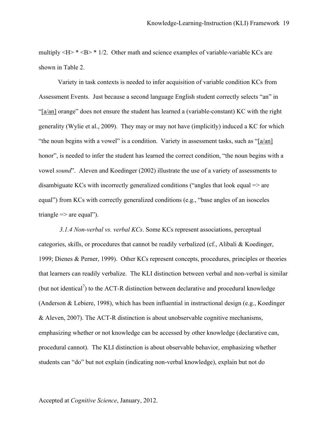multiply  $\langle H \rangle^* \langle B \rangle^* 1/2$ . Other math and science examples of variable-variable KCs are shown in Table 2.

Variety in task contexts is needed to infer acquisition of variable condition KCs from Assessment Events. Just because a second language English student correctly selects "an" in "[a/an] orange" does not ensure the student has learned a (variable-constant) KC with the right generality (Wylie et al., 2009). They may or may not have (implicitly) induced a KC for which "the noun begins with a vowel" is a condition. Variety in assessment tasks, such as " $[a/an]$ " honor", is needed to infer the student has learned the correct condition, "the noun begins with a vowel *sound*". Aleven and Koedinger (2002) illustrate the use of a variety of assessments to disambiguate KCs with incorrectly generalized conditions ("angles that look equal => are equal") from KCs with correctly generalized conditions (e.g., "base angles of an isosceles triangle  $\Rightarrow$  are equal").

*3.1.4 Non-verbal vs. verbal KCs*. Some KCs represent associations, perceptual categories, skills, or procedures that cannot be readily verbalized (cf., Alibali & Koedinger, 1999; Dienes & Perner, 1999). Other KCs represent concepts, procedures, principles or theories that learners can readily verbalize. The KLI distinction between verbal and non-verbal is similar (but not identical<sup>7</sup>) to the ACT-R distinction between declarative and procedural knowledge (Anderson & Lebiere, 1998), which has been influential in instructional design (e.g., Koedinger & Aleven, 2007). The ACT-R distinction is about unobservable cognitive mechanisms, emphasizing whether or not knowledge can be accessed by other knowledge (declarative can, procedural cannot). The KLI distinction is about observable behavior, emphasizing whether students can "do" but not explain (indicating non-verbal knowledge), explain but not do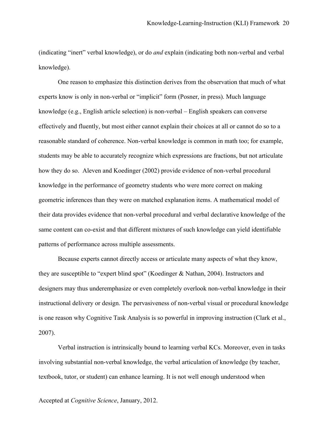(indicating "inert" verbal knowledge), or do *and* explain (indicating both non-verbal and verbal knowledge).

One reason to emphasize this distinction derives from the observation that much of what experts know is only in non-verbal or "implicit" form (Posner, in press). Much language knowledge (e.g., English article selection) is non-verbal – English speakers can converse effectively and fluently, but most either cannot explain their choices at all or cannot do so to a reasonable standard of coherence. Non-verbal knowledge is common in math too; for example, students may be able to accurately recognize which expressions are fractions, but not articulate how they do so. Aleven and Koedinger (2002) provide evidence of non-verbal procedural knowledge in the performance of geometry students who were more correct on making geometric inferences than they were on matched explanation items. A mathematical model of their data provides evidence that non-verbal procedural and verbal declarative knowledge of the same content can co-exist and that different mixtures of such knowledge can yield identifiable patterns of performance across multiple assessments.

Because experts cannot directly access or articulate many aspects of what they know, they are susceptible to "expert blind spot" (Koedinger & Nathan, 2004). Instructors and designers may thus underemphasize or even completely overlook non-verbal knowledge in their instructional delivery or design. The pervasiveness of non-verbal visual or procedural knowledge is one reason why Cognitive Task Analysis is so powerful in improving instruction (Clark et al., 2007).

Verbal instruction is intrinsically bound to learning verbal KCs. Moreover, even in tasks involving substantial non-verbal knowledge, the verbal articulation of knowledge (by teacher, textbook, tutor, or student) can enhance learning. It is not well enough understood when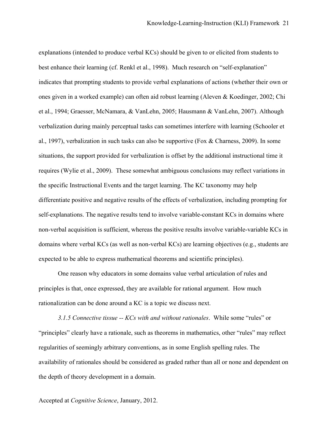explanations (intended to produce verbal KCs) should be given to or elicited from students to best enhance their learning (cf. Renkl et al., 1998). Much research on "self-explanation" indicates that prompting students to provide verbal explanations of actions (whether their own or ones given in a worked example) can often aid robust learning (Aleven & Koedinger, 2002; Chi et al., 1994; Graesser, McNamara, & VanLehn, 2005; Hausmann & VanLehn, 2007). Although verbalization during mainly perceptual tasks can sometimes interfere with learning (Schooler et al., 1997), verbalization in such tasks can also be supportive (Fox & Charness, 2009). In some situations, the support provided for verbalization is offset by the additional instructional time it requires (Wylie et al., 2009). These somewhat ambiguous conclusions may reflect variations in the specific Instructional Events and the target learning. The KC taxonomy may help differentiate positive and negative results of the effects of verbalization, including prompting for self-explanations. The negative results tend to involve variable-constant KCs in domains where non-verbal acquisition is sufficient, whereas the positive results involve variable-variable KCs in domains where verbal KCs (as well as non-verbal KCs) are learning objectives (e.g., students are expected to be able to express mathematical theorems and scientific principles).

One reason why educators in some domains value verbal articulation of rules and principles is that, once expressed, they are available for rational argument. How much rationalization can be done around a KC is a topic we discuss next.

*3.1.5 Connective tissue -- KCs with and without rationales*. While some "rules" or "principles" clearly have a rationale, such as theorems in mathematics, other "rules" may reflect regularities of seemingly arbitrary conventions, as in some English spelling rules. The availability of rationales should be considered as graded rather than all or none and dependent on the depth of theory development in a domain.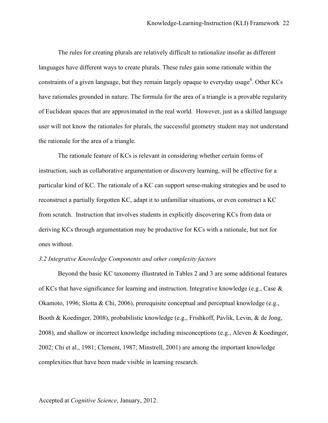The rules for creating plurals are relatively difficult to rationalize insofar as different languages have different ways to create plurals. These rules gain some rationale within the constraints of a given language, but they remain largely opaque to everyday usage $8$ . Other KCs have rationales grounded in nature. The formula for the area of a triangle is a provable regularity of Euclidean spaces that are approximated in the real world. However, just as a skilled language user will not know the rationales for plurals, the successful geometry student may not understand the rationale for the area of a triangle.

The rationale feature of KCs is relevant in considering whether certain forms of instruction, such as collaborative argumentation or discovery learning, will be effective for a particular kind of KC. The rationale of a KC can support sense-making strategies and be used to reconstruct a partially forgotten KC, adapt it to unfamiliar situations, or even construct a KC from scratch. Instruction that involves students in explicitly discovering KCs from data or deriving KCs through argumentation may be productive for KCs with a rationale, but not for ones without.

## *3.2 Integrative Knowledge Components and other complexity factors*

Beyond the basic KC taxonomy illustrated in Tables 2 and 3 are some additional features of KCs that have significance for learning and instruction. Integrative knowledge (e.g., Case  $\&$ Okamoto, 1996; Slotta & Chi, 2006), prerequisite conceptual and perceptual knowledge (e.g., Booth & Koedinger, 2008), probabilistic knowledge (e.g., Frishkoff, Pavlik, Levin, & de Jong, 2008), and shallow or incorrect knowledge including misconceptions (e.g., Aleven & Koedinger, 2002; Chi et al., 1981; Clement, 1987; Minstrell, 2001) are among the important knowledge complexities that have been made visible in learning research.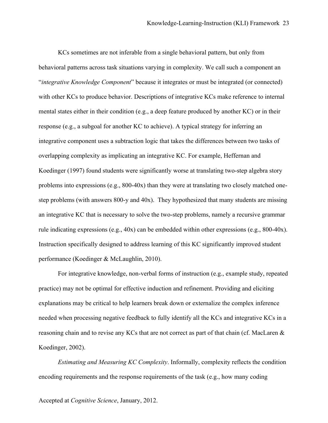KCs sometimes are not inferable from a single behavioral pattern, but only from behavioral patterns across task situations varying in complexity. We call such a component an "*integrative Knowledge Component*" because it integrates or must be integrated (or connected) with other KCs to produce behavior. Descriptions of integrative KCs make reference to internal mental states either in their condition (e.g., a deep feature produced by another KC) or in their response (e.g., a subgoal for another KC to achieve). A typical strategy for inferring an integrative component uses a subtraction logic that takes the differences between two tasks of overlapping complexity as implicating an integrative KC. For example, Heffernan and Koedinger (1997) found students were significantly worse at translating two-step algebra story problems into expressions (e.g., 800-40x) than they were at translating two closely matched onestep problems (with answers 800-y and 40x). They hypothesized that many students are missing an integrative KC that is necessary to solve the two-step problems, namely a recursive grammar rule indicating expressions (e.g., 40x) can be embedded within other expressions (e.g., 800-40x). Instruction specifically designed to address learning of this KC significantly improved student performance (Koedinger & McLaughlin, 2010).

For integrative knowledge, non-verbal forms of instruction (e.g., example study, repeated practice) may not be optimal for effective induction and refinement. Providing and eliciting explanations may be critical to help learners break down or externalize the complex inference needed when processing negative feedback to fully identify all the KCs and integrative KCs in a reasoning chain and to revise any KCs that are not correct as part of that chain (cf. MacLaren & Koedinger, 2002).

*Estimating and Measuring KC Complexity*. Informally, complexity reflects the condition encoding requirements and the response requirements of the task (e.g., how many coding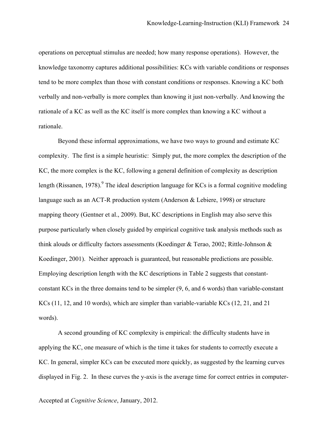operations on perceptual stimulus are needed; how many response operations). However, the knowledge taxonomy captures additional possibilities: KCs with variable conditions or responses tend to be more complex than those with constant conditions or responses. Knowing a KC both verbally and non-verbally is more complex than knowing it just non-verbally. And knowing the rationale of a KC as well as the KC itself is more complex than knowing a KC without a rationale.

Beyond these informal approximations, we have two ways to ground and estimate KC complexity. The first is a simple heuristic: Simply put, the more complex the description of the KC, the more complex is the KC, following a general definition of complexity as description length (Rissanen, 1978). <sup>9</sup> The ideal description language for KCs is a formal cognitive modeling language such as an ACT-R production system (Anderson & Lebiere, 1998) or structure mapping theory (Gentner et al., 2009). But, KC descriptions in English may also serve this purpose particularly when closely guided by empirical cognitive task analysis methods such as think alouds or difficulty factors assessments (Koedinger & Terao, 2002; Rittle-Johnson & Koedinger, 2001). Neither approach is guaranteed, but reasonable predictions are possible. Employing description length with the KC descriptions in Table 2 suggests that constantconstant KCs in the three domains tend to be simpler (9, 6, and 6 words) than variable-constant KCs (11, 12, and 10 words), which are simpler than variable-variable KCs (12, 21, and 21 words).

A second grounding of KC complexity is empirical: the difficulty students have in applying the KC, one measure of which is the time it takes for students to correctly execute a KC. In general, simpler KCs can be executed more quickly, as suggested by the learning curves displayed in Fig. 2. In these curves the y-axis is the average time for correct entries in computer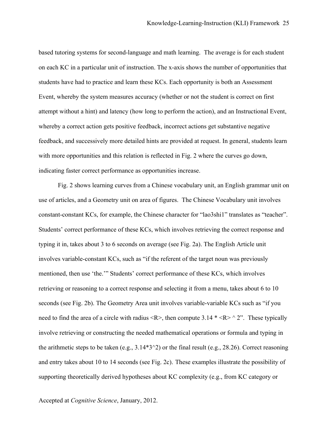based tutoring systems for second-language and math learning. The average is for each student on each KC in a particular unit of instruction. The x-axis shows the number of opportunities that students have had to practice and learn these KCs. Each opportunity is both an Assessment Event, whereby the system measures accuracy (whether or not the student is correct on first attempt without a hint) and latency (how long to perform the action), and an Instructional Event, whereby a correct action gets positive feedback, incorrect actions get substantive negative feedback, and successively more detailed hints are provided at request. In general, students learn with more opportunities and this relation is reflected in Fig. 2 where the curves go down, indicating faster correct performance as opportunities increase.

Fig. 2 shows learning curves from a Chinese vocabulary unit, an English grammar unit on use of articles, and a Geometry unit on area of figures. The Chinese Vocabulary unit involves constant-constant KCs, for example, the Chinese character for "lao3shi1" translates as "teacher". Students' correct performance of these KCs, which involves retrieving the correct response and typing it in, takes about 3 to 6 seconds on average (see Fig. 2a). The English Article unit involves variable-constant KCs, such as "if the referent of the target noun was previously mentioned, then use 'the.'" Students' correct performance of these KCs, which involves retrieving or reasoning to a correct response and selecting it from a menu, takes about 6 to 10 seconds (see Fig. 2b). The Geometry Area unit involves variable-variable KCs such as "if you need to find the area of a circle with radius  $\langle R \rangle$ , then compute 3.14  $\ast$   $\langle R \rangle \land 2$ ". These typically involve retrieving or constructing the needed mathematical operations or formula and typing in the arithmetic steps to be taken (e.g.,  $3.14*3^2$ ) or the final result (e.g., 28.26). Correct reasoning and entry takes about 10 to 14 seconds (see Fig. 2c). These examples illustrate the possibility of supporting theoretically derived hypotheses about KC complexity (e.g., from KC category or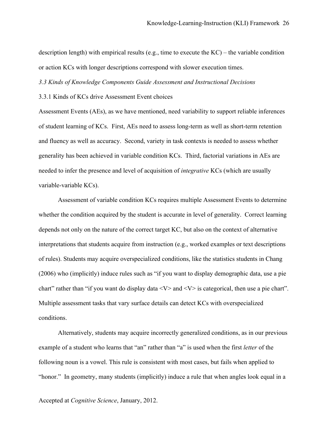description length) with empirical results (e.g., time to execute the KC) – the variable condition or action KCs with longer descriptions correspond with slower execution times.

*3.3 Kinds of Knowledge Components Guide Assessment and Instructional Decisions*

3.3.1 Kinds of KCs drive Assessment Event choices

Assessment Events (AEs), as we have mentioned, need variability to support reliable inferences of student learning of KCs. First, AEs need to assess long-term as well as short-term retention and fluency as well as accuracy. Second, variety in task contexts is needed to assess whether generality has been achieved in variable condition KCs. Third, factorial variations in AEs are needed to infer the presence and level of acquisition of *integrative* KCs (which are usually variable-variable KCs).

Assessment of variable condition KCs requires multiple Assessment Events to determine whether the condition acquired by the student is accurate in level of generality. Correct learning depends not only on the nature of the correct target KC, but also on the context of alternative interpretations that students acquire from instruction (e.g., worked examples or text descriptions of rules). Students may acquire overspecialized conditions, like the statistics students in Chang (2006) who (implicitly) induce rules such as "if you want to display demographic data, use a pie chart" rather than "if you want do display data  $\langle V \rangle$  and  $\langle V \rangle$  is categorical, then use a pie chart". Multiple assessment tasks that vary surface details can detect KCs with overspecialized conditions.

Alternatively, students may acquire incorrectly generalized conditions, as in our previous example of a student who learns that "an" rather than "a" is used when the first *letter* of the following noun is a vowel. This rule is consistent with most cases, but fails when applied to "honor." In geometry, many students (implicitly) induce a rule that when angles look equal in a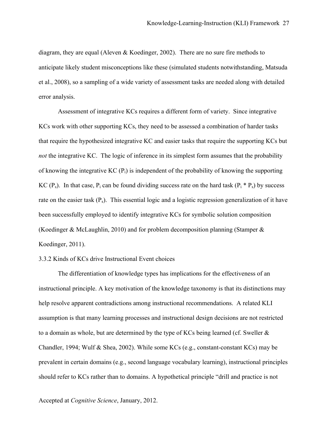diagram, they are equal (Aleven & Koedinger, 2002). There are no sure fire methods to anticipate likely student misconceptions like these (simulated students notwithstanding, Matsuda et al., 2008), so a sampling of a wide variety of assessment tasks are needed along with detailed error analysis.

Assessment of integrative KCs requires a different form of variety. Since integrative KCs work with other supporting KCs, they need to be assessed a combination of harder tasks that require the hypothesized integrative KC and easier tasks that require the supporting KCs but *not* the integrative KC. The logic of inference in its simplest form assumes that the probability of knowing the integrative  $KC(P_i)$  is independent of the probability of knowing the supporting KC (P<sub>s</sub>). In that case, P<sub>i</sub> can be found dividing success rate on the hard task (P<sub>i</sub> \* P<sub>s</sub>) by success rate on the easier task (P<sub>s</sub>). This essential logic and a logistic regression generalization of it have been successfully employed to identify integrative KCs for symbolic solution composition (Koedinger & McLaughlin, 2010) and for problem decomposition planning (Stamper & Koedinger, 2011).

# 3.3.2 Kinds of KCs drive Instructional Event choices

The differentiation of knowledge types has implications for the effectiveness of an instructional principle. A key motivation of the knowledge taxonomy is that its distinctions may help resolve apparent contradictions among instructional recommendations. A related KLI assumption is that many learning processes and instructional design decisions are not restricted to a domain as whole, but are determined by the type of KCs being learned (cf. Sweller & Chandler, 1994; Wulf & Shea, 2002). While some KCs (e.g., constant-constant KCs) may be prevalent in certain domains (e.g., second language vocabulary learning), instructional principles should refer to KCs rather than to domains. A hypothetical principle "drill and practice is not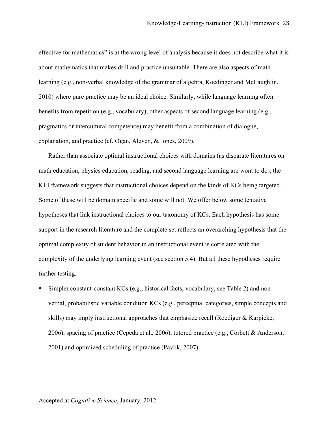effective for mathematics" is at the wrong level of analysis because it does not describe what it is about mathematics that makes drill and practice unsuitable. There are also aspects of math learning (e.g., non-verbal knowledge of the grammar of algebra, Koedinger and McLaughlin, 2010) where pure practice may be an ideal choice. Similarly, while language learning often benefits from repetition (e.g., vocabulary), other aspects of second language learning (e.g., pragmatics or intercultural competence) may benefit from a combination of dialogue, explanation, and practice (cf. Ogan, Aleven, & Jones, 2009).

Rather than associate optimal instructional choices with domains (as disparate literatures on math education, physics education, reading, and second language learning are wont to do), the KLI framework suggests that instructional choices depend on the kinds of KCs being targeted. Some of these will be domain specific and some will not. We offer below some tentative hypotheses that link instructional choices to our taxonomy of KCs. Each hypothesis has some support in the research literature and the complete set reflects an overarching hypothesis that the optimal complexity of student behavior in an instructional event is correlated with the complexity of the underlying learning event (see section 5.4). But all these hypotheses require further testing.

• Simpler constant-constant KCs (e.g., historical facts, vocabulary, see Table 2) and nonverbal, probabilistic variable condition KCs (e.g., perceptual categories, simple concepts and skills) may imply instructional approaches that emphasize recall (Roediger & Karpicke, 2006), spacing of practice (Cepeda et al., 2006), tutored practice (e.g., Corbett & Anderson, 2001) and optimized scheduling of practice (Pavlik, 2007).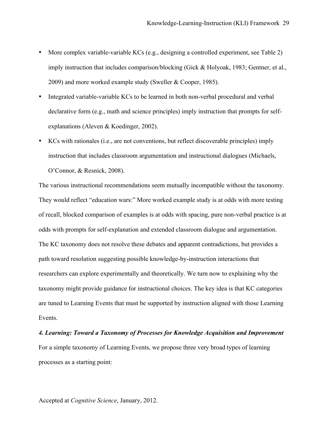- More complex variable-variable KCs (e.g., designing a controlled experiment, see Table 2) imply instruction that includes comparison/blocking (Gick & Holyoak, 1983; Gentner, et al., 2009) and more worked example study (Sweller & Cooper, 1985).
- Integrated variable-variable KCs to be learned in both non-verbal procedural and verbal declarative form (e.g., math and science principles) imply instruction that prompts for selfexplanations (Aleven & Koedinger, 2002).
- KCs with rationales (i.e., are not conventions, but reflect discoverable principles) imply instruction that includes classroom argumentation and instructional dialogues (Michaels, O'Connor, & Resnick, 2008).

The various instructional recommendations seem mutually incompatible without the taxonomy. They would reflect "education wars:" More worked example study is at odds with more testing of recall, blocked comparison of examples is at odds with spacing, pure non-verbal practice is at odds with prompts for self-explanation and extended classroom dialogue and argumentation. The KC taxonomy does not resolve these debates and apparent contradictions, but provides a path toward resolution suggesting possible knowledge-by-instruction interactions that researchers can explore experimentally and theoretically. We turn now to explaining why the taxonomy might provide guidance for instructional choices. The key idea is that KC categories are tuned to Learning Events that must be supported by instruction aligned with those Learning Events.

# *4. Learning: Toward a Taxonomy of Processes for Knowledge Acquisition and Improvement* For a simple taxonomy of Learning Events, we propose three very broad types of learning processes as a starting point: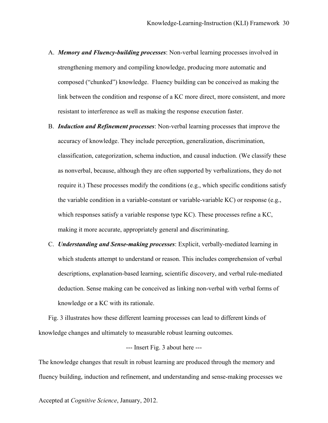- A. *Memory and Fluency-building processes*: Non-verbal learning processes involved in strengthening memory and compiling knowledge, producing more automatic and composed ("chunked") knowledge. Fluency building can be conceived as making the link between the condition and response of a KC more direct, more consistent, and more resistant to interference as well as making the response execution faster.
- B. *Induction and Refinement processes*: Non-verbal learning processes that improve the accuracy of knowledge. They include perception, generalization, discrimination, classification, categorization, schema induction, and causal induction. (We classify these as nonverbal, because, although they are often supported by verbalizations, they do not require it.) These processes modify the conditions (e.g., which specific conditions satisfy the variable condition in a variable-constant or variable-variable KC) or response (e.g., which responses satisfy a variable response type KC). These processes refine a KC, making it more accurate, appropriately general and discriminating.
- C. *Understanding and Sense-making processes*: Explicit, verbally-mediated learning in which students attempt to understand or reason. This includes comprehension of verbal descriptions, explanation-based learning, scientific discovery, and verbal rule-mediated deduction. Sense making can be conceived as linking non-verbal with verbal forms of knowledge or a KC with its rationale.

Fig. 3 illustrates how these different learning processes can lead to different kinds of knowledge changes and ultimately to measurable robust learning outcomes.

--- Insert Fig. 3 about here ---

The knowledge changes that result in robust learning are produced through the memory and fluency building, induction and refinement, and understanding and sense-making processes we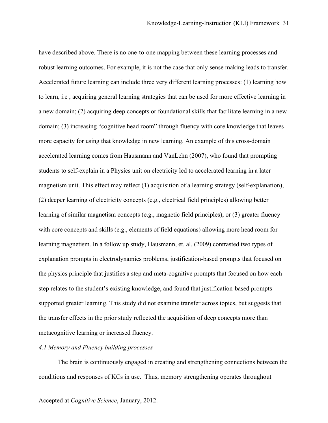have described above. There is no one-to-one mapping between these learning processes and robust learning outcomes. For example, it is not the case that only sense making leads to transfer. Accelerated future learning can include three very different learning processes: (1) learning how to learn, i.e , acquiring general learning strategies that can be used for more effective learning in a new domain; (2) acquiring deep concepts or foundational skills that facilitate learning in a new domain; (3) increasing "cognitive head room" through fluency with core knowledge that leaves more capacity for using that knowledge in new learning. An example of this cross-domain accelerated learning comes from Hausmann and VanLehn (2007), who found that prompting students to self-explain in a Physics unit on electricity led to accelerated learning in a later magnetism unit. This effect may reflect (1) acquisition of a learning strategy (self-explanation), (2) deeper learning of electricity concepts (e.g., electrical field principles) allowing better learning of similar magnetism concepts (e.g., magnetic field principles), or (3) greater fluency with core concepts and skills (e.g., elements of field equations) allowing more head room for learning magnetism. In a follow up study, Hausmann, et. al. (2009) contrasted two types of explanation prompts in electrodynamics problems, justification-based prompts that focused on the physics principle that justifies a step and meta-cognitive prompts that focused on how each step relates to the student's existing knowledge, and found that justification-based prompts supported greater learning. This study did not examine transfer across topics, but suggests that the transfer effects in the prior study reflected the acquisition of deep concepts more than metacognitive learning or increased fluency.

## *4.1 Memory and Fluency building processes*

The brain is continuously engaged in creating and strengthening connections between the conditions and responses of KCs in use. Thus, memory strengthening operates throughout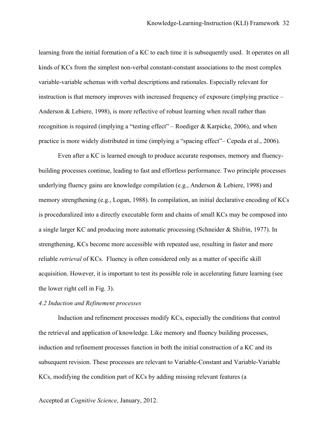learning from the initial formation of a KC to each time it is subsequently used. It operates on all kinds of KCs from the simplest non-verbal constant-constant associations to the most complex variable-variable schemas with verbal descriptions and rationales. Especially relevant for instruction is that memory improves with increased frequency of exposure (implying practice – Anderson & Lebiere, 1998), is more reflective of robust learning when recall rather than recognition is required (implying a "testing effect" – Roediger & Karpicke, 2006), and when practice is more widely distributed in time (implying a "spacing effect"– Cepeda et al., 2006).

Even after a KC is learned enough to produce accurate responses, memory and fluencybuilding processes continue, leading to fast and effortless performance. Two principle processes underlying fluency gains are knowledge compilation (e.g., Anderson & Lebiere, 1998) and memory strengthening (e.g., Logan, 1988). In compilation, an initial declarative encoding of KCs is proceduralized into a directly executable form and chains of small KCs may be composed into a single larger KC and producing more automatic processing (Schneider & Shifrin, 1977). In strengthening, KCs become more accessible with repeated use, resulting in faster and more reliable *retrieval* of KCs. Fluency is often considered only as a matter of specific skill acquisition. However, it is important to test its possible role in accelerating future learning (see the lower right cell in Fig. 3).

#### *4.2 Induction and Refinement processes*

Induction and refinement processes modify KCs, especially the conditions that control the retrieval and application of knowledge. Like memory and fluency building processes, induction and refinement processes function in both the initial construction of a KC and its subsequent revision. These processes are relevant to Variable-Constant and Variable-Variable KCs, modifying the condition part of KCs by adding missing relevant features (a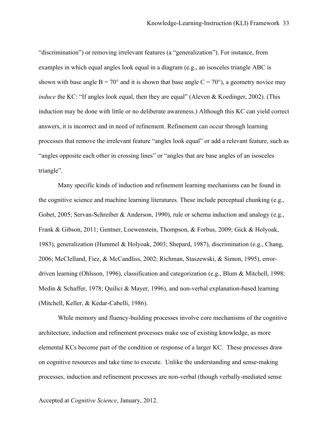"discrimination") or removing irrelevant features (a "generalization"). For instance, from examples in which equal angles look equal in a diagram (e.g., an isosceles triangle ABC is shown with base angle  $B = 70^{\circ}$  and it is shown that base angle  $C = 70^{\circ}$ ), a geometry novice may *induce* the KC: "If angles look equal, then they are equal" (Aleven & Koedinger, 2002). (This induction may be done with little or no deliberate awareness.) Although this KC can yield correct answers, it is incorrect and in need of refinement. Refinement can occur through learning processes that remove the irrelevant feature "angles look equal" or add a relevant feature, such as "angles opposite each other in crossing lines" or "angles that are base angles of an isosceles triangle".

Many specific kinds of induction and refinement learning mechanisms can be found in the cognitive science and machine learning literatures. These include perceptual chunking (e.g., Gobet, 2005; Servan-Schreiber & Anderson, 1990), rule or schema induction and analogy (e.g., Frank & Gibson, 2011; Gentner, Loewenstein, Thompson, & Forbus, 2009; Gick & Holyoak, 1983), generalization (Hummel & Holyoak, 2003; Shepard, 1987), discrimination (e.g., Chang, 2006; McClelland, Fiez, & McCandliss, 2002; Richman, Staszewski, & Simon, 1995), errordriven learning (Ohlsson, 1996), classification and categorization (e.g., Blum & Mitchell, 1998; Medin & Schaffer, 1978; Quilici & Mayer, 1996), and non-verbal explanation-based learning (Mitchell, Keller, & Kedar-Cabelli, 1986).

While memory and fluency-building processes involve core mechanisms of the cognitive architecture, induction and refinement processes make use of existing knowledge, as more elemental KCs become part of the condition or response of a larger KC. These processes draw on cognitive resources and take time to execute. Unlike the understanding and sense-making processes, induction and refinement processes are non-verbal (though verbally-mediated sense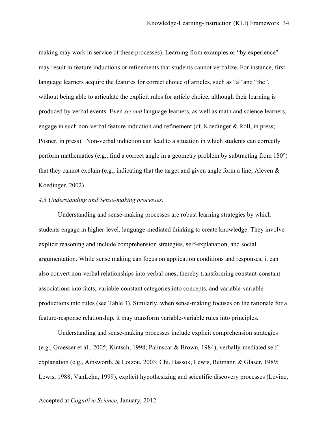making may work in service of these processes). Learning from examples or "by experience" may result in feature inductions or refinements that students cannot verbalize. For instance, first language learners acquire the features for correct choice of articles, such as "a" and "the", without being able to articulate the explicit rules for article choice, although their learning is produced by verbal events. Even *second* language learners, as well as math and science learners, engage in such non-verbal feature induction and refinement (cf. Koedinger & Roll, in press; Posner, in press). Non-verbal induction can lead to a situation in which students can correctly perform mathematics (e.g., find a correct angle in a geometry problem by subtracting from 180°) that they cannot explain (e.g., indicating that the target and given angle form a line; Aleven  $\&$ Koedinger, 2002).

# *4.3 Understanding and Sense-making processes.*

Understanding and sense-making processes are robust learning strategies by which students engage in higher-level, language-mediated thinking to create knowledge. They involve explicit reasoning and include comprehension strategies, self-explanation, and social argumentation. While sense making can focus on application conditions and responses, it can also convert non-verbal relationships into verbal ones, thereby transforming constant-constant associations into facts, variable-constant categories into concepts, and variable-variable productions into rules (see Table 3). Similarly, when sense-making focuses on the rationale for a feature-response relationship, it may transform variable-variable rules into principles.

Understanding and sense-making processes include explicit comprehension strategies (e.g., Graesser et al., 2005; Kintsch, 1998; Palinscar & Brown, 1984), verbally-mediated selfexplanation (e.g., Ainsworth, & Loizou, 2003; Chi, Bassok, Lewis, Reimann & Glaser, 1989; Lewis, 1988; VanLehn, 1999), explicit hypothesizing and scientific discovery processes (Levine,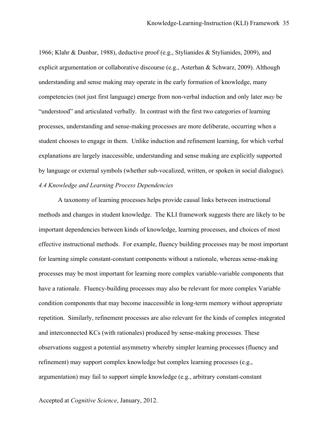1966; Klahr & Dunbar, 1988), deductive proof (e.g., Stylianides & Stylianides, 2009), and explicit argumentation or collaborative discourse (e.g., Asterhan & Schwarz, 2009). Although understanding and sense making may operate in the early formation of knowledge, many competencies (not just first language) emerge from non-verbal induction and only later *may* be "understood" and articulated verbally. In contrast with the first two categories of learning processes, understanding and sense-making processes are more deliberate, occurring when a student chooses to engage in them. Unlike induction and refinement learning, for which verbal explanations are largely inaccessible, understanding and sense making are explicitly supported by language or external symbols (whether sub-vocalized, written, or spoken in social dialogue). *4.4 Knowledge and Learning Process Dependencies* 

A taxonomy of learning processes helps provide causal links between instructional methods and changes in student knowledge. The KLI framework suggests there are likely to be important dependencies between kinds of knowledge, learning processes, and choices of most effective instructional methods. For example, fluency building processes may be most important for learning simple constant-constant components without a rationale, whereas sense-making processes may be most important for learning more complex variable-variable components that have a rationale. Fluency-building processes may also be relevant for more complex Variable condition components that may become inaccessible in long-term memory without appropriate repetition. Similarly, refinement processes are also relevant for the kinds of complex integrated and interconnected KCs (with rationales) produced by sense-making processes. These observations suggest a potential asymmetry whereby simpler learning processes (fluency and refinement) may support complex knowledge but complex learning processes (e.g., argumentation) may fail to support simple knowledge (e.g., arbitrary constant-constant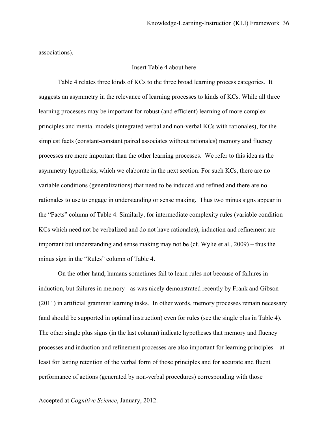associations).

--- Insert Table 4 about here ---

Table 4 relates three kinds of KCs to the three broad learning process categories. It suggests an asymmetry in the relevance of learning processes to kinds of KCs. While all three learning processes may be important for robust (and efficient) learning of more complex principles and mental models (integrated verbal and non-verbal KCs with rationales), for the simplest facts (constant-constant paired associates without rationales) memory and fluency processes are more important than the other learning processes. We refer to this idea as the asymmetry hypothesis, which we elaborate in the next section. For such KCs, there are no variable conditions (generalizations) that need to be induced and refined and there are no rationales to use to engage in understanding or sense making. Thus two minus signs appear in the "Facts" column of Table 4. Similarly, for intermediate complexity rules (variable condition KCs which need not be verbalized and do not have rationales), induction and refinement are important but understanding and sense making may not be (cf. Wylie et al., 2009) – thus the minus sign in the "Rules" column of Table 4.

On the other hand, humans sometimes fail to learn rules not because of failures in induction, but failures in memory - as was nicely demonstrated recently by Frank and Gibson (2011) in artificial grammar learning tasks. In other words, memory processes remain necessary (and should be supported in optimal instruction) even for rules (see the single plus in Table 4). The other single plus signs (in the last column) indicate hypotheses that memory and fluency processes and induction and refinement processes are also important for learning principles – at least for lasting retention of the verbal form of those principles and for accurate and fluent performance of actions (generated by non-verbal procedures) corresponding with those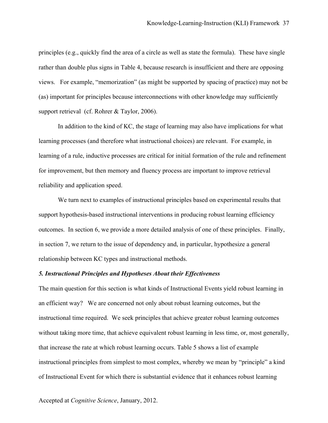principles (e.g., quickly find the area of a circle as well as state the formula). These have single rather than double plus signs in Table 4, because research is insufficient and there are opposing views. For example, "memorization" (as might be supported by spacing of practice) may not be (as) important for principles because interconnections with other knowledge may sufficiently support retrieval (cf. Rohrer & Taylor, 2006).

In addition to the kind of KC, the stage of learning may also have implications for what learning processes (and therefore what instructional choices) are relevant. For example, in learning of a rule, inductive processes are critical for initial formation of the rule and refinement for improvement, but then memory and fluency process are important to improve retrieval reliability and application speed.

We turn next to examples of instructional principles based on experimental results that support hypothesis-based instructional interventions in producing robust learning efficiency outcomes. In section 6, we provide a more detailed analysis of one of these principles. Finally, in section 7, we return to the issue of dependency and, in particular, hypothesize a general relationship between KC types and instructional methods.

## *5. Instructional Principles and Hypotheses About their Effectiveness*

The main question for this section is what kinds of Instructional Events yield robust learning in an efficient way? We are concerned not only about robust learning outcomes, but the instructional time required. We seek principles that achieve greater robust learning outcomes without taking more time, that achieve equivalent robust learning in less time, or, most generally, that increase the rate at which robust learning occurs. Table 5 shows a list of example instructional principles from simplest to most complex, whereby we mean by "principle" a kind of Instructional Event for which there is substantial evidence that it enhances robust learning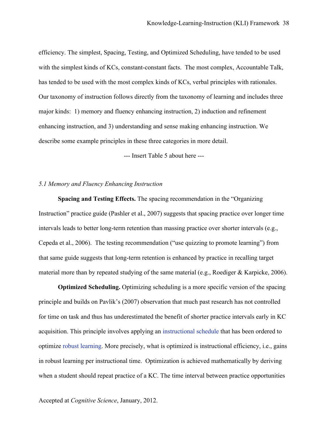efficiency. The simplest, Spacing, Testing, and Optimized Scheduling, have tended to be used with the simplest kinds of KCs, constant-constant facts. The most complex, Accountable Talk, has tended to be used with the most complex kinds of KCs, verbal principles with rationales. Our taxonomy of instruction follows directly from the taxonomy of learning and includes three major kinds: 1) memory and fluency enhancing instruction, 2) induction and refinement enhancing instruction, and 3) understanding and sense making enhancing instruction. We describe some example principles in these three categories in more detail.

--- Insert Table 5 about here ---

## *5.1 Memory and Fluency Enhancing Instruction*

**Spacing and Testing Effects.** The spacing recommendation in the "Organizing Instruction" practice guide (Pashler et al., 2007) suggests that spacing practice over longer time intervals leads to better long-term retention than massing practice over shorter intervals (e.g., Cepeda et al., 2006). The testing recommendation ("use quizzing to promote learning") from that same guide suggests that long-term retention is enhanced by practice in recalling target material more than by repeated studying of the same material (e.g., Roediger & Karpicke, 2006).

**Optimized Scheduling.** Optimizing scheduling is a more specific version of the spacing principle and builds on Pavlik's (2007) observation that much past research has not controlled for time on task and thus has underestimated the benefit of shorter practice intervals early in KC acquisition. This principle involves applying an instructional schedule that has been ordered to optimize robust learning. More precisely, what is optimized is instructional efficiency, i.e., gains in robust learning per instructional time. Optimization is achieved mathematically by deriving when a student should repeat practice of a KC. The time interval between practice opportunities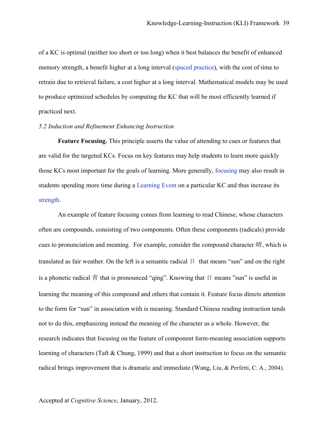of a KC is optimal (neither too short or too long) when it best balances the benefit of enhanced memory strength, a benefit higher at a long interval (spaced practice), with the cost of time to retrain due to retrieval failure, a cost higher at a long interval. Mathematical models may be used to produce optimized schedules by computing the KC that will be most efficiently learned if practiced next.

## *5.2 Induction and Refinement Enhancing Instruction*

**Feature Focusing.** This principle asserts the value of attending to cues or features that are valid for the targeted KCs. Focus on key features may help students to learn more quickly those KCs most important for the goals of learning. More generally, focusing may also result in students spending more time during a Learning Event on a particular KC and thus increase its strength.

An example of feature focusing comes from learning to read Chinese, whose characters often are compounds, consisting of two components. Often these components (radicals) provide cues to pronunciation and meaning. For example, consider the compound character 晴, which is translated as fair weather. On the left is a semantic radical  $\Box$  that means "sun" and on the right is a phonetic radical 青 that is pronounced "qing". Knowing that  $\exists$  means "sun" is useful in learning the meaning of this compound and others that contain it. Feature focus directs attention to the form for "sun" in association with is meaning. Standard Chinese reading instruction tends not to do this, emphasizing instead the meaning of the character as a whole. However, the research indicates that focusing on the feature of component form-meaning association supports learning of characters (Taft & Chung, 1999) and that a short instruction to focus on the semantic radical brings improvement that is dramatic and immediate (Wang, Liu, & Perfetti, C. A., 2004).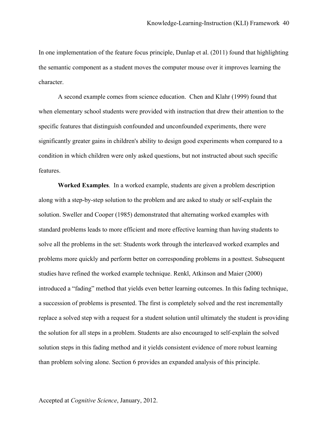In one implementation of the feature focus principle, Dunlap et al. (2011) found that highlighting the semantic component as a student moves the computer mouse over it improves learning the character.

A second example comes from science education. Chen and Klahr (1999) found that when elementary school students were provided with instruction that drew their attention to the specific features that distinguish confounded and unconfounded experiments, there were significantly greater gains in children's ability to design good experiments when compared to a condition in which children were only asked questions, but not instructed about such specific features.

**Worked Examples**. In a worked example, students are given a problem description along with a step-by-step solution to the problem and are asked to study or self-explain the solution. Sweller and Cooper (1985) demonstrated that alternating worked examples with standard problems leads to more efficient and more effective learning than having students to solve all the problems in the set: Students work through the interleaved worked examples and problems more quickly and perform better on corresponding problems in a posttest. Subsequent studies have refined the worked example technique. Renkl, Atkinson and Maier (2000) introduced a "fading" method that yields even better learning outcomes. In this fading technique, a succession of problems is presented. The first is completely solved and the rest incrementally replace a solved step with a request for a student solution until ultimately the student is providing the solution for all steps in a problem. Students are also encouraged to self-explain the solved solution steps in this fading method and it yields consistent evidence of more robust learning than problem solving alone. Section 6 provides an expanded analysis of this principle.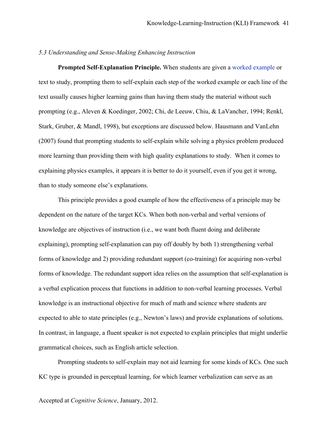### *5.3 Understanding and Sense-Making Enhancing Instruction*

**Prompted Self-Explanation Principle.** When students are given a worked example or text to study, prompting them to self-explain each step of the worked example or each line of the text usually causes higher learning gains than having them study the material without such prompting (e.g., Aleven & Koedinger, 2002; Chi, de Leeuw, Chiu, & LaVancher, 1994; Renkl, Stark, Gruber, & Mandl, 1998), but exceptions are discussed below. Hausmann and VanLehn (2007) found that prompting students to self-explain while solving a physics problem produced more learning than providing them with high quality explanations to study. When it comes to explaining physics examples, it appears it is better to do it yourself, even if you get it wrong, than to study someone else's explanations.

This principle provides a good example of how the effectiveness of a principle may be dependent on the nature of the target KCs. When both non-verbal and verbal versions of knowledge are objectives of instruction (i.e., we want both fluent doing and deliberate explaining), prompting self-explanation can pay off doubly by both 1) strengthening verbal forms of knowledge and 2) providing redundant support (co-training) for acquiring non-verbal forms of knowledge. The redundant support idea relies on the assumption that self-explanation is a verbal explication process that functions in addition to non-verbal learning processes. Verbal knowledge is an instructional objective for much of math and science where students are expected to able to state principles (e.g., Newton's laws) and provide explanations of solutions. In contrast, in language, a fluent speaker is not expected to explain principles that might underlie grammatical choices, such as English article selection.

Prompting students to self-explain may not aid learning for some kinds of KCs. One such KC type is grounded in perceptual learning, for which learner verbalization can serve as an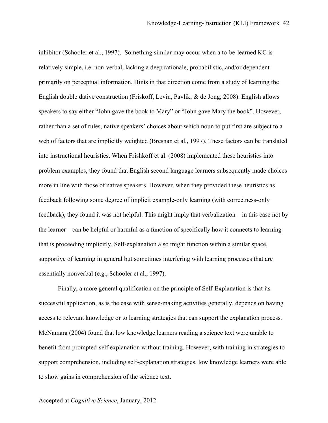inhibitor (Schooler et al., 1997). Something similar may occur when a to-be-learned KC is relatively simple, i.e. non-verbal, lacking a deep rationale, probabilistic, and/or dependent primarily on perceptual information. Hints in that direction come from a study of learning the English double dative construction (Friskoff, Levin, Pavlik, & de Jong, 2008). English allows speakers to say either "John gave the book to Mary" or "John gave Mary the book". However, rather than a set of rules, native speakers' choices about which noun to put first are subject to a web of factors that are implicitly weighted (Bresnan et al., 1997). These factors can be translated into instructional heuristics. When Frishkoff et al. (2008) implemented these heuristics into problem examples, they found that English second language learners subsequently made choices more in line with those of native speakers. However, when they provided these heuristics as feedback following some degree of implicit example-only learning (with correctness-only feedback), they found it was not helpful. This might imply that verbalization—in this case not by the learner—can be helpful or harmful as a function of specifically how it connects to learning that is proceeding implicitly. Self-explanation also might function within a similar space, supportive of learning in general but sometimes interfering with learning processes that are essentially nonverbal (e.g., Schooler et al., 1997).

Finally, a more general qualification on the principle of Self-Explanation is that its successful application, as is the case with sense-making activities generally, depends on having access to relevant knowledge or to learning strategies that can support the explanation process. McNamara (2004) found that low knowledge learners reading a science text were unable to benefit from prompted-self explanation without training. However, with training in strategies to support comprehension, including self-explanation strategies, low knowledge learners were able to show gains in comprehension of the science text.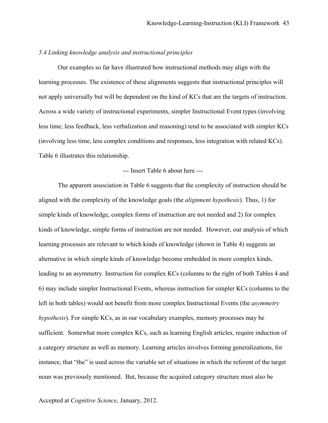## *5.4 Linking knowledge analysis and instructional principles*

Our examples so far have illustrated how instructional methods may align with the learning processes. The existence of these alignments suggests that instructional principles will not apply universally but will be dependent on the kind of KCs that are the targets of instruction. Across a wide variety of instructional experiments, simpler Instructional Event types (involving less time, less feedback, less verbalization and reasoning) tend to be associated with simpler KCs (involving less time, less complex conditions and responses, less integration with related KCs). Table 6 illustrates this relationship.

# --- Insert Table 6 about here ---

The apparent association in Table 6 suggests that the complexity of instruction should be aligned with the complexity of the knowledge goals (the *alignment hypothesis*). Thus, 1) for simple kinds of knowledge, complex forms of instruction are not needed and 2) for complex kinds of knowledge, simple forms of instruction are not needed. However, our analysis of which learning processes are relevant to which kinds of knowledge (shown in Table 4) suggests an alternative in which simple kinds of knowledge become embedded in more complex kinds, leading to an asymmetry. Instruction for complex KCs (columns to the right of both Tables 4 and 6) may include simpler Instructional Events, whereas instruction for simpler KCs (columns to the left in both tables) would not benefit from more complex Instructional Events (the *asymmetry hypothesis*). For simple KCs, as in our vocabulary examples, memory processes may be sufficient. Somewhat more complex KCs, such as learning English articles, require induction of a category structure as well as memory. Learning articles involves forming generalizations, for instance, that "the" is used across the variable set of situations in which the referent of the target noun was previously mentioned. But, because the acquired category structure must also be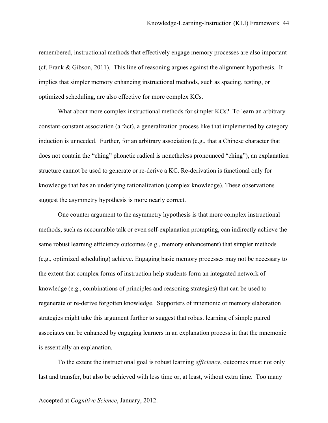remembered, instructional methods that effectively engage memory processes are also important (cf. Frank & Gibson, 2011). This line of reasoning argues against the alignment hypothesis. It implies that simpler memory enhancing instructional methods, such as spacing, testing, or optimized scheduling, are also effective for more complex KCs.

What about more complex instructional methods for simpler KCs? To learn an arbitrary constant-constant association (a fact), a generalization process like that implemented by category induction is unneeded. Further, for an arbitrary association (e.g., that a Chinese character that does not contain the "ching" phonetic radical is nonetheless pronounced "ching"), an explanation structure cannot be used to generate or re-derive a KC. Re-derivation is functional only for knowledge that has an underlying rationalization (complex knowledge). These observations suggest the asymmetry hypothesis is more nearly correct.

One counter argument to the asymmetry hypothesis is that more complex instructional methods, such as accountable talk or even self-explanation prompting, can indirectly achieve the same robust learning efficiency outcomes (e.g., memory enhancement) that simpler methods (e.g., optimized scheduling) achieve. Engaging basic memory processes may not be necessary to the extent that complex forms of instruction help students form an integrated network of knowledge (e.g., combinations of principles and reasoning strategies) that can be used to regenerate or re-derive forgotten knowledge. Supporters of mnemonic or memory elaboration strategies might take this argument further to suggest that robust learning of simple paired associates can be enhanced by engaging learners in an explanation process in that the mnemonic is essentially an explanation.

To the extent the instructional goal is robust learning *efficiency*, outcomes must not only last and transfer, but also be achieved with less time or, at least, without extra time. Too many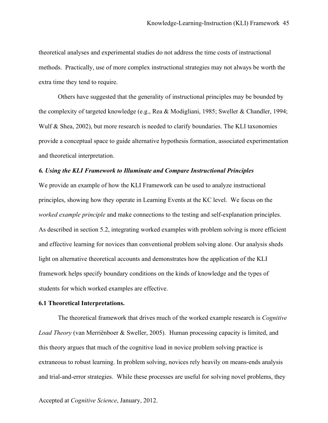theoretical analyses and experimental studies do not address the time costs of instructional methods. Practically, use of more complex instructional strategies may not always be worth the extra time they tend to require.

Others have suggested that the generality of instructional principles may be bounded by the complexity of targeted knowledge (e.g., Rea & Modigliani, 1985; Sweller & Chandler, 1994; Wulf & Shea, 2002), but more research is needed to clarify boundaries. The KLI taxonomies provide a conceptual space to guide alternative hypothesis formation, associated experimentation and theoretical interpretation.

#### *6. Using the KLI Framework to Illuminate and Compare Instructional Principles*

We provide an example of how the KLI Framework can be used to analyze instructional principles, showing how they operate in Learning Events at the KC level. We focus on the *worked example principle* and make connections to the testing and self-explanation principles. As described in section 5.2, integrating worked examples with problem solving is more efficient and effective learning for novices than conventional problem solving alone. Our analysis sheds light on alternative theoretical accounts and demonstrates how the application of the KLI framework helps specify boundary conditions on the kinds of knowledge and the types of students for which worked examples are effective.

#### **6.1 Theoretical Interpretations.**

The theoretical framework that drives much of the worked example research is *Cognitive Load Theory* (van Merriënboer & Sweller, 2005). Human processing capacity is limited, and this theory argues that much of the cognitive load in novice problem solving practice is extraneous to robust learning. In problem solving, novices rely heavily on means-ends analysis and trial-and-error strategies. While these processes are useful for solving novel problems, they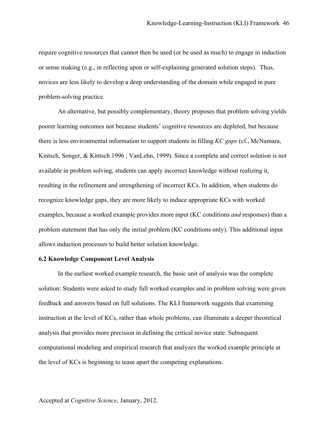require cognitive resources that cannot then be used (or be used as much) to engage in induction or sense making (e.g., in reflecting upon or self-explaining generated solution steps). Thus, novices are less likely to develop a deep understanding of the domain while engaged in pure problem-solving practice.

An alternative, but possibly complementary, theory proposes that problem solving yields poorer learning outcomes not because students' cognitive resources are depleted, but because there is less environmental information to support students in filling *KC gaps* (cf., McNamara, Kintsch, Songer, & Kintsch 1996 ; VanLehn, 1999). Since a complete and correct solution is not available in problem solving, students can apply incorrect knowledge without realizing it, resulting in the refinement and strengthening of incorrect KCs. In addition, when students do recognize knowledge gaps, they are more likely to induce appropriate KCs with worked examples, because a worked example provides more input (KC conditions *and* responses) than a problem statement that has only the initial problem (KC conditions only). This additional input allows induction processes to build better solution knowledge.

## **6.2 Knowledge Component Level Analysis**

In the earliest worked example research, the basic unit of analysis was the complete solution: Students were asked to study full worked examples and in problem solving were given feedback and answers based on full solutions. The KLI framework suggests that examining instruction at the level of KCs, rather than whole problems, can illuminate a deeper theoretical analysis that provides more precision in defining the critical novice state. Subsequent computational modeling and empirical research that analyzes the worked example principle at the level of KCs is beginning to tease apart the competing explanations.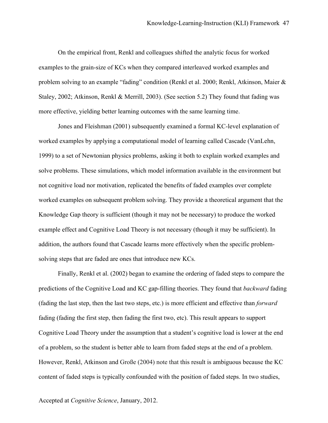On the empirical front, Renkl and colleagues shifted the analytic focus for worked examples to the grain-size of KCs when they compared interleaved worked examples and problem solving to an example "fading" condition (Renkl et al. 2000; Renkl, Atkinson, Maier & Staley, 2002; Atkinson, Renkl & Merrill, 2003). (See section 5.2) They found that fading was more effective, yielding better learning outcomes with the same learning time.

Jones and Fleishman (2001) subsequently examined a formal KC-level explanation of worked examples by applying a computational model of learning called Cascade (VanLehn, 1999) to a set of Newtonian physics problems, asking it both to explain worked examples and solve problems. These simulations, which model information available in the environment but not cognitive load nor motivation, replicated the benefits of faded examples over complete worked examples on subsequent problem solving. They provide a theoretical argument that the Knowledge Gap theory is sufficient (though it may not be necessary) to produce the worked example effect and Cognitive Load Theory is not necessary (though it may be sufficient). In addition, the authors found that Cascade learns more effectively when the specific problemsolving steps that are faded are ones that introduce new KCs.

Finally, Renkl et al. (2002) began to examine the ordering of faded steps to compare the predictions of the Cognitive Load and KC gap-filling theories. They found that *backward* fading (fading the last step, then the last two steps, etc.) is more efficient and effective than *forward* fading (fading the first step, then fading the first two, etc). This result appears to support Cognitive Load Theory under the assumption that a student's cognitive load is lower at the end of a problem, so the student is better able to learn from faded steps at the end of a problem. However, Renkl, Atkinson and Große (2004) note that this result is ambiguous because the KC content of faded steps is typically confounded with the position of faded steps. In two studies,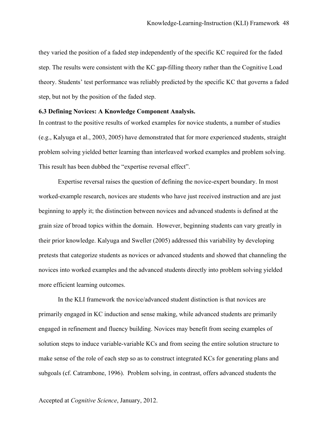they varied the position of a faded step independently of the specific KC required for the faded step. The results were consistent with the KC gap-filling theory rather than the Cognitive Load theory. Students' test performance was reliably predicted by the specific KC that governs a faded step, but not by the position of the faded step.

# **6.3 Defining Novices: A Knowledge Component Analysis.**

In contrast to the positive results of worked examples for novice students, a number of studies (e.g., Kalyuga et al., 2003, 2005) have demonstrated that for more experienced students, straight problem solving yielded better learning than interleaved worked examples and problem solving. This result has been dubbed the "expertise reversal effect".

Expertise reversal raises the question of defining the novice-expert boundary. In most worked-example research, novices are students who have just received instruction and are just beginning to apply it; the distinction between novices and advanced students is defined at the grain size of broad topics within the domain. However, beginning students can vary greatly in their prior knowledge. Kalyuga and Sweller (2005) addressed this variability by developing pretests that categorize students as novices or advanced students and showed that channeling the novices into worked examples and the advanced students directly into problem solving yielded more efficient learning outcomes.

In the KLI framework the novice/advanced student distinction is that novices are primarily engaged in KC induction and sense making, while advanced students are primarily engaged in refinement and fluency building. Novices may benefit from seeing examples of solution steps to induce variable-variable KCs and from seeing the entire solution structure to make sense of the role of each step so as to construct integrated KCs for generating plans and subgoals (cf. Catrambone, 1996). Problem solving, in contrast, offers advanced students the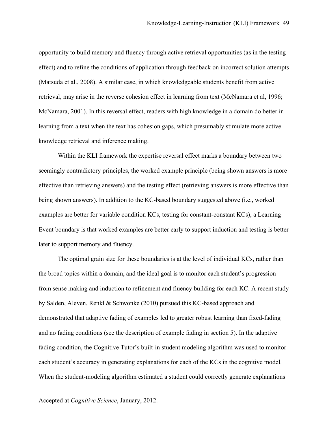opportunity to build memory and fluency through active retrieval opportunities (as in the testing effect) and to refine the conditions of application through feedback on incorrect solution attempts (Matsuda et al., 2008). A similar case, in which knowledgeable students benefit from active retrieval, may arise in the reverse cohesion effect in learning from text (McNamara et al, 1996; McNamara, 2001). In this reversal effect, readers with high knowledge in a domain do better in learning from a text when the text has cohesion gaps, which presumably stimulate more active knowledge retrieval and inference making.

Within the KLI framework the expertise reversal effect marks a boundary between two seemingly contradictory principles, the worked example principle (being shown answers is more effective than retrieving answers) and the testing effect (retrieving answers is more effective than being shown answers). In addition to the KC-based boundary suggested above (i.e., worked examples are better for variable condition KCs, testing for constant-constant KCs), a Learning Event boundary is that worked examples are better early to support induction and testing is better later to support memory and fluency.

The optimal grain size for these boundaries is at the level of individual KCs, rather than the broad topics within a domain, and the ideal goal is to monitor each student's progression from sense making and induction to refinement and fluency building for each KC. A recent study by Salden, Aleven, Renkl & Schwonke (2010) pursued this KC-based approach and demonstrated that adaptive fading of examples led to greater robust learning than fixed-fading and no fading conditions (see the description of example fading in section 5). In the adaptive fading condition, the Cognitive Tutor's built-in student modeling algorithm was used to monitor each student's accuracy in generating explanations for each of the KCs in the cognitive model. When the student-modeling algorithm estimated a student could correctly generate explanations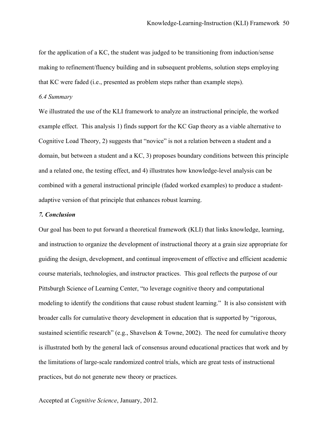for the application of a KC, the student was judged to be transitioning from induction/sense making to refinement/fluency building and in subsequent problems, solution steps employing that KC were faded (i.e., presented as problem steps rather than example steps).

# *6.4 Summary*

We illustrated the use of the KLI framework to analyze an instructional principle, the worked example effect. This analysis 1) finds support for the KC Gap theory as a viable alternative to Cognitive Load Theory, 2) suggests that "novice" is not a relation between a student and a domain, but between a student and a KC, 3) proposes boundary conditions between this principle and a related one, the testing effect, and 4) illustrates how knowledge-level analysis can be combined with a general instructional principle (faded worked examples) to produce a studentadaptive version of that principle that enhances robust learning.

## *7. Conclusion*

Our goal has been to put forward a theoretical framework (KLI) that links knowledge, learning, and instruction to organize the development of instructional theory at a grain size appropriate for guiding the design, development, and continual improvement of effective and efficient academic course materials, technologies, and instructor practices. This goal reflects the purpose of our Pittsburgh Science of Learning Center, "to leverage cognitive theory and computational modeling to identify the conditions that cause robust student learning." It is also consistent with broader calls for cumulative theory development in education that is supported by "rigorous, sustained scientific research" (e.g., Shavelson & Towne, 2002). The need for cumulative theory is illustrated both by the general lack of consensus around educational practices that work and by the limitations of large-scale randomized control trials, which are great tests of instructional practices, but do not generate new theory or practices.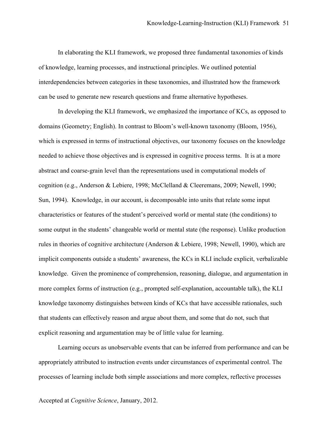In elaborating the KLI framework, we proposed three fundamental taxonomies of kinds of knowledge, learning processes, and instructional principles. We outlined potential interdependencies between categories in these taxonomies, and illustrated how the framework can be used to generate new research questions and frame alternative hypotheses.

In developing the KLI framework, we emphasized the importance of KCs, as opposed to domains (Geometry; English). In contrast to Bloom's well-known taxonomy (Bloom, 1956), which is expressed in terms of instructional objectives, our taxonomy focuses on the knowledge needed to achieve those objectives and is expressed in cognitive process terms. It is at a more abstract and coarse-grain level than the representations used in computational models of cognition (e.g., Anderson & Lebiere, 1998; McClelland & Cleeremans, 2009; Newell, 1990; Sun, 1994). Knowledge, in our account, is decomposable into units that relate some input characteristics or features of the student's perceived world or mental state (the conditions) to some output in the students' changeable world or mental state (the response). Unlike production rules in theories of cognitive architecture (Anderson & Lebiere, 1998; Newell, 1990), which are implicit components outside a students' awareness, the KCs in KLI include explicit, verbalizable knowledge. Given the prominence of comprehension, reasoning, dialogue, and argumentation in more complex forms of instruction (e.g., prompted self-explanation, accountable talk), the KLI knowledge taxonomy distinguishes between kinds of KCs that have accessible rationales, such that students can effectively reason and argue about them, and some that do not, such that explicit reasoning and argumentation may be of little value for learning.

Learning occurs as unobservable events that can be inferred from performance and can be appropriately attributed to instruction events under circumstances of experimental control. The processes of learning include both simple associations and more complex, reflective processes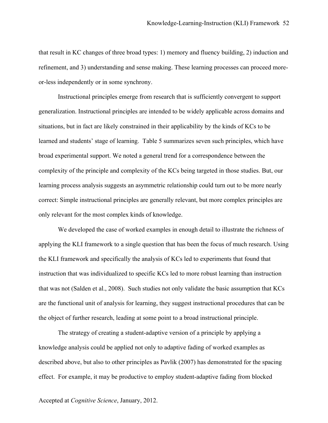that result in KC changes of three broad types: 1) memory and fluency building, 2) induction and refinement, and 3) understanding and sense making. These learning processes can proceed moreor-less independently or in some synchrony.

Instructional principles emerge from research that is sufficiently convergent to support generalization. Instructional principles are intended to be widely applicable across domains and situations, but in fact are likely constrained in their applicability by the kinds of KCs to be learned and students' stage of learning. Table 5 summarizes seven such principles, which have broad experimental support. We noted a general trend for a correspondence between the complexity of the principle and complexity of the KCs being targeted in those studies. But, our learning process analysis suggests an asymmetric relationship could turn out to be more nearly correct: Simple instructional principles are generally relevant, but more complex principles are only relevant for the most complex kinds of knowledge.

We developed the case of worked examples in enough detail to illustrate the richness of applying the KLI framework to a single question that has been the focus of much research. Using the KLI framework and specifically the analysis of KCs led to experiments that found that instruction that was individualized to specific KCs led to more robust learning than instruction that was not (Salden et al., 2008). Such studies not only validate the basic assumption that KCs are the functional unit of analysis for learning, they suggest instructional procedures that can be the object of further research, leading at some point to a broad instructional principle.

The strategy of creating a student-adaptive version of a principle by applying a knowledge analysis could be applied not only to adaptive fading of worked examples as described above, but also to other principles as Pavlik (2007) has demonstrated for the spacing effect. For example, it may be productive to employ student-adaptive fading from blocked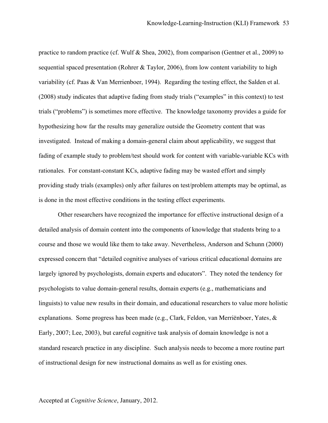practice to random practice (cf. Wulf & Shea, 2002), from comparison (Gentner et al., 2009) to sequential spaced presentation (Rohrer & Taylor, 2006), from low content variability to high variability (cf. Paas & Van Merrienboer, 1994). Regarding the testing effect, the Salden et al. (2008) study indicates that adaptive fading from study trials ("examples" in this context) to test trials ("problems") is sometimes more effective. The knowledge taxonomy provides a guide for hypothesizing how far the results may generalize outside the Geometry content that was investigated. Instead of making a domain-general claim about applicability, we suggest that fading of example study to problem/test should work for content with variable-variable KCs with rationales. For constant-constant KCs, adaptive fading may be wasted effort and simply providing study trials (examples) only after failures on test/problem attempts may be optimal, as is done in the most effective conditions in the testing effect experiments.

Other researchers have recognized the importance for effective instructional design of a detailed analysis of domain content into the components of knowledge that students bring to a course and those we would like them to take away. Nevertheless, Anderson and Schunn (2000) expressed concern that "detailed cognitive analyses of various critical educational domains are largely ignored by psychologists, domain experts and educators". They noted the tendency for psychologists to value domain-general results, domain experts (e.g., mathematicians and linguists) to value new results in their domain, and educational researchers to value more holistic explanations. Some progress has been made (e.g., Clark, Feldon, van Merriënboer, Yates, & Early, 2007; Lee, 2003), but careful cognitive task analysis of domain knowledge is not a standard research practice in any discipline. Such analysis needs to become a more routine part of instructional design for new instructional domains as well as for existing ones.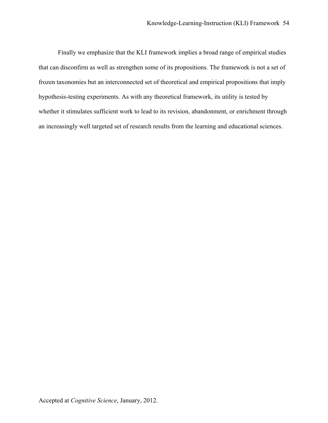Finally we emphasize that the KLI framework implies a broad range of empirical studies that can disconfirm as well as strengthen some of its propositions. The framework is not a set of frozen taxonomies but an interconnected set of theoretical and empirical propositions that imply hypothesis-testing experiments. As with any theoretical framework, its utility is tested by whether it stimulates sufficient work to lead to its revision, abandonment, or enrichment through an increasingly well targeted set of research results from the learning and educational sciences.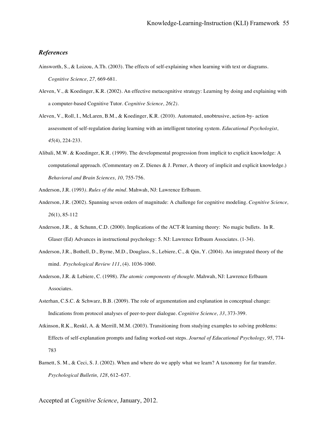## *References*

- Ainsworth, S., & Loizou, A.Th. (2003). The effects of self-explaining when learning with text or diagrams. *Cognitive Science, 27,* 669-681.
- Aleven, V., & Koedinger, K.R. (2002). An effective metacognitive strategy: Learning by doing and explaining with a computer-based Cognitive Tutor. *Cognitive Science, 26(2).*
- Aleven, V., Roll, I., McLaren, B.M., & Koedinger, K.R. (2010). Automated, unobtrusive, action-by- action assessment of self-regulation during learning with an intelligent tutoring system. *Educational Psychologist*, *45*(4), 224-233.
- Alibali, M.W. & Koedinger, K.R. (1999). The developmental progression from implicit to explicit knowledge: A computational approach. (Commentary on Z. Dienes & J. Perner, A theory of implicit and explicit knowledge.) *Behavioral and Brain Sciences, 10,* 755-756.
- Anderson, J.R. (1993*). Rules of the mind*. Mahwah, NJ: Lawrence Erlbaum.
- Anderson, J.R. (2002). Spanning seven orders of magnitude: A challenge for cognitive modeling. *Cognitive Science, 26*(1), 85-112
- Anderson, J.R., & Schunn, C.D. (2000). Implications of the ACT-R learning theory: No magic bullets. In R. Glaser (Ed) Advances in instructional psychology: 5. NJ: Lawrence Erlbaum Associates. (1-34).
- Anderson, J.R., Bothell, D., Byrne, M.D., Douglass, S., Lebiere, C., & Qin, Y. (2004). An integrated theory of the mind. *Psychological Review 111*, (4). 1036-1060.
- Anderson, J.R. & Lebiere, C. (1998). *The atomic components of thought*. Mahwah, NJ: Lawrence Erlbaum Associates.
- Asterhan, C.S.C. & Schwarz, B.B. (2009). The role of argumentation and explanation in conceptual change: Indications from protocol analyses of peer-to-peer dialogue. *Cognitive Science, 33*, 373-399.
- Atkinson, R.K., Renkl, A. & Merrill, M.M. (2003). Transitioning from studying examples to solving problems: Effects of self-explanation prompts and fading worked-out steps. *Journal of Educational Psychology, 95,* 774- 783
- Barnett, S. M., & Ceci, S. J. (2002). When and where do we apply what we learn? A taxonomy for far transfer. *Psychological Bulletin, 128*, 612–637.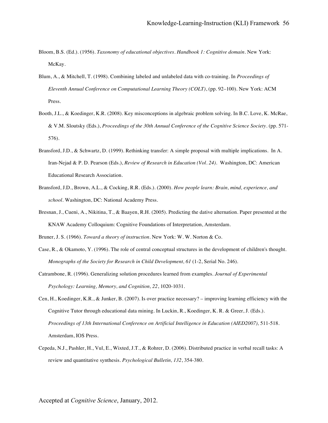- Bloom, B.S. (Ed.). (1956). *Taxonomy of educational objectives. Handbook 1: Cognitive domain*. New York: McKay.
- Blum, A., & Mitchell, T. (1998). Combining labeled and unlabeled data with co-training. In *Proceedings of Eleventh Annual Conference on Computational Learning Theory (COLT)*, (pp. 92–100). New York: ACM Press.
- Booth, J.L., & Koedinger, K.R. (2008). Key misconceptions in algebraic problem solving. In B.C. Love, K. McRae, & V.M. Sloutsky (Eds.), *Proceedings of the 30th Annual Conference of the Cognitive Science Society*. (pp. 571- 576).
- Bransford, J.D., & Schwartz, D. (1999). Rethinking transfer: A simple proposal with multiple implications. In A. Iran-Nejad & P. D. Pearson (Eds.), *Review of Research in Education (Vol. 24)*. Washington, DC: American Educational Research Association.
- Bransford, J.D., Brown, A.L., & Cocking, R.R. (Eds.). (2000). *How people learn: Brain, mind, experience, and school.* Washington, DC: National Academy Press.
- Bresnan, J., Cueni, A., Nikitina, T., & Baayen, R.H. (2005). Predicting the dative alternation. Paper presented at the KNAW Academy Colloquium: Cognitive Foundations of Interpretation, Amsterdam.
- Bruner, J. S. (1966). *Toward a theory of instruction*. New York: W. W. Norton & Co.
- Case, R., & Okamoto, Y. (1996). The role of central conceptual structures in the development of children's thought. *Monographs of the Society for Research in Child Development, 61* (1-2, Serial No. 246).
- Catrambone, R. (1996). Generalizing solution procedures learned from examples. *Journal of Experimental Psychology: Learning, Memory, and Cognition, 22*, 1020-1031.
- Cen, H., Koedinger, K.R., & Junker, B. (2007). Is over practice necessary? improving learning efficiency with the Cognitive Tutor through educational data mining. In Luckin, R., Koedinger, K. R. & Greer, J. (Eds.). *Proceedings of 13th International Conference on Artificial Intelligence in Education (AIED2007),* 511-518. Amsterdam, IOS Press.
- Cepeda, N.J., Pashler, H., Vul, E., Wixted, J.T., & Rohrer, D. (2006). Distributed practice in verbal recall tasks: A review and quantitative synthesis. *Psychological Bulletin, 132*, 354-380.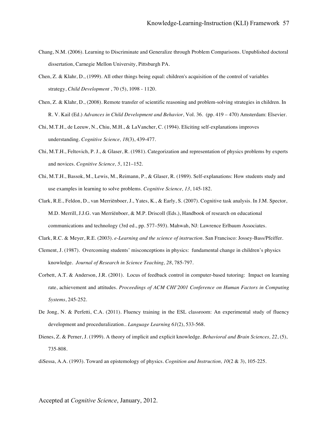- Chang, N.M. (2006). Learning to Discriminate and Generalize through Problem Comparisons. Unpublished doctoral dissertation, Carnegie Mellon University, Pittsburgh PA.
- Chen, Z. & Klahr, D., (1999). All other things being equal: children's acquisition of the control of variables strategy, *Child Development* , 70 (5), 1098 - 1120.
- Chen, Z. & Klahr, D., (2008). Remote transfer of scientific reasoning and problem-solving strategies in children. In R. V. Kail (Ed.) *Advances in Child Development and Behavior,* Vol. 36. (pp. 419 – 470) Amsterdam: Elsevier.
- Chi, M.T.H., de Leeuw, N., Chiu, M.H., & LaVancher, C. (1994). Eliciting self-explanations improves understanding. *Cognitive Science, 18*(3), 439-477.
- Chi, M.T.H., Feltovich, P. J., & Glaser, R. (1981). Categorization and representation of physics problems by experts and novices. *Cognitive Science, 5*, 121–152.
- Chi, M.T.H., Bassok, M., Lewis, M., Reimann, P., & Glaser, R. (1989). Self-explanations: How students study and use examples in learning to solve problems. *Cognitive Science, 13*, 145-182.
- Clark, R.E., Feldon, D., van Merriënboer, J., Yates, K., & Early, S. (2007). Cognitive task analysis. In J.M. Spector, M.D. Merrill, J.J.G. van Merriënboer, & M.P. Driscoll (Eds.), Handbook of research on educational communications and technology (3rd ed., pp. 577–593). Mahwah, NJ: Lawrence Erlbaum Associates.
- Clark, R.C. & Meyer, R.E. (2003). *e-Learning and the science of instruction*. San Francisco: Jossey-Bass/Pfeiffer.
- Clement, J. (1987). Overcoming students' misconceptions in physics: fundamental change in children's physics knowledge. *Journal of Research in Science Teaching, 28*, 785-797.
- Corbett, A.T. & Anderson, J.R. (2001). Locus of feedback control in computer-based tutoring: Impact on learning rate, achievement and attitudes. *Proceedings of ACM CHI'2001 Conference on Human Factors in Computing Systems*, 245-252.
- De Jong, N. & Perfetti, C.A. (2011). Fluency training in the ESL classroom: An experimental study of fluency development and proceduralization.. *Language Learning 61*(2), 533-568.
- Dienes, Z. & Perner, J. (1999). A theory of implicit and explicit knowledge. *Behavioral and Brain Sciences, 22*, (5), 735-808.
- diSessa, A.A. (1993). Toward an epistemology of physics. *Cognition and Instruction, 10*(2 & 3), 105-225.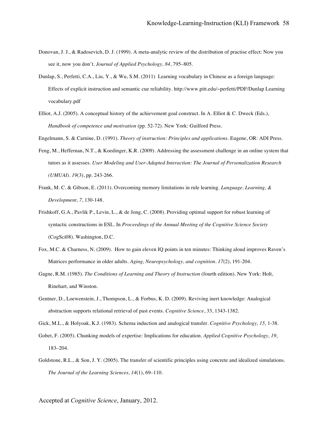- Donovan, J. J., & Radosevich, D. J. (1999). A meta-analytic review of the distribution of practise effect: Now you see it, now you don't. *Journal of Applied Psychology, 84*, 795–805.
- Dunlap, S., Perfetti, C.A., Liu, Y., & Wu, S.M. (2011) Learning vocabulary in Chinese as a foreign language: Effects of explicit instruction and semantic cue reliability. http://www.pitt.edu/~perfetti/PDF/Dunlap Learning vocabulary.pdf
- Elliot, A.J. (2005). A conceptual history of the achievement goal construct. In A. Elliot & C. Dweck (Eds.), *Handbook of competence and motivation* (pp. 52-72). New York: Guilford Press.

Engelmann, S. & Carnine, D. (1991). *Theory of instruction: Principles and applications*. Eugene, OR: ADI Press.

- Feng, M., Heffernan, N.T., & Koedinger, K.R. (2009). Addressing the assessment challenge in an online system that tutors as it assesses. *User Modeling and User-Adapted Interaction: The Journal of Personalization Research (UMUAI). 19*(3), pp. 243-266.
- Frank, M. C. & Gibson, E. (2011). Overcoming memory limitations in rule learning. *Language, Learning, & Development, 7*, 130-148.
- Frishkoff, G.A., Pavlik P., Levin, L., & de Jong, C. (2008). Providing optimal support for robust learning of syntactic constructions in ESL. In *Proceedings of the Annual Meeting of the Cognitive Science Society* (CogSci08). Washington, D.C.
- Fox, M.C. & Charness, N. (2009). How to gain eleven IQ points in ten minutes: Thinking aloud improves Raven's Matrices performance in older adults. *Aging, Neuropsychology, and cognition. 17*(2), 191-204.
- Gagne, R.M. (1985). *The Conditions of Learning and Theory of Instruction* (fourth edition). New York: Holt, Rinehart, and Winston.
- Gentner, D., Loewenstein, J., Thompson, L., & Forbus, K. D. (2009). Reviving inert knowledge: Analogical abstraction supports relational retrieval of past events. *Cognitive Science*, 33, 1343-1382.

Gick, M.L., & Holyoak, K.J. (1983). Schema induction and analogical transfer. *Cognitive Psychology, 15,* 1-38.

- Gobet, F. (2005). Chunking models of expertise: Implications for education. *Applied Cognitive Psychology, 19*, 183–204.
- Goldstone, R.L., & Son, J. Y. (2005). The transfer of scientific principles using concrete and idealized simulations. *The Journal of the Learning Sciences, 14*(1), 69–110.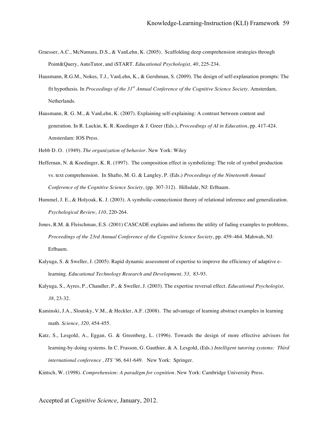- Graesser, A.C., McNamara, D.S., & VanLehn, K. (2005). Scaffolding deep comprehension strategies through Point&Query, AutoTutor, and iSTART. *Educational Psychologist, 40*, 225-234.
- Hausmann, R.G.M., Nokes, T.J., VanLehn, K., & Gershman, S. (2009). The design of self-explanation prompts: The fit hypothesis. In *Proceedings of the 31st Annual Conference of the Cognitive Science Society*. Amsterdam, Netherlands.
- Hausmann, R. G. M., & VanLehn, K. (2007). Explaining self-explaining: A contrast between content and generation. In R. Luckin, K. R. Koedinger & J. Greer (Eds.), *Proceedings of AI in Education*, pp. 417-424. Amsterdam: IOS Press.
- Hebb D. O. (1949). *The organization of behavior*. New York: Wiley
- Heffernan, N. & Koedinger, K. R. (1997). The composition effect in symbolizing: The role of symbol production vs. text comprehension. In Shafto, M. G. & Langley, P. (Eds.) *Proceedings of the Nineteenth Annual Conference of the Cognitive Science Society*, (pp. 307-312). Hillsdale, NJ: Erlbaum.
- Hummel, J. E., & Holyoak, K. J. (2003). A symbolic-connectionist theory of relational inference and generalization. *Psychological Review, 110*, 220-264.
- Jones, R.M. & Fleischman, E.S. (2001) CASCADE explains and informs the utility of fading examples to problems, *Proceedings of the 23rd Annual Conference of the Cognitive Science Society*, pp. 459–464. Mahwah, NJ: Erlbaum.
- Kalyuga, S. & Sweller, J. (2005). Rapid dynamic assessment of expertise to improve the efficiency of adaptive elearning. *Educational Technology Research and Development, 53,* 83-93.
- Kalyuga, S., Ayres, P., Chandler, P., & Sweller, J. (2003). The expertise reversal effect. *Educational Psychologist, 38*, 23-32*.*
- Kaminski, J.A., Sloutsky, V.M., & Heckler, A.F. (2008). The advantage of learning abstract examples in learning math. *Science, 320*, 454-455.
- Katz, S., Lesgold, A., Eggan, G. & Greenberg, L. (1996). Towards the design of more effective advisors for learning-by-doing systems. In C. Frasson, G. Gauthier, & A. Lesgold, (Eds.) *Intelligent tutoring systems: Third international conference , ITS '96,* 641-649.New York: Springer.

Kintsch, W. (1998). *Comprehension: A paradigm for cognition*. New York: Cambridge University Press.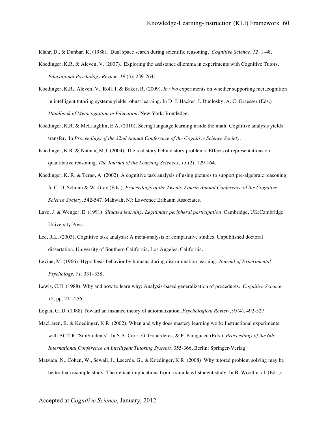Klahr, D., & Dunbar, K. (1988). Dual space search during scientific reasoning. *Cognitive Science, 12*, 1-48.

- Koedinger, K.R. & Aleven, V. (2007). Exploring the assistance dilemma in experiments with Cognitive Tutors. *Educational Psychology Review, 19* (3): 239-264.
- Koedinger, K.R., Aleven, V., Roll, I. & Baker, R. (2009). *In vivo* experiments on whether supporting metacognition in intelligent tutoring systems yields robust learning. In D. J. Hacker, J. Dunlosky, A. C. Graesser (Eds.) *Handbook of Metacognition in Education*. New York: Routledge.
- Koedinger, K.R. & McLaughlin, E.A. (2010). Seeing language learning inside the math: Cognitive analysis yields transfer. In *Proceedings of the 32nd Annual Conference of the Cognitive Science Society.*
- Koedinger, K.R. & Nathan, M.J. (2004). The real story behind story problems: Effects of representations on quantitative reasoning. *The Journal of the Learning Sciences, 13* (2), 129-164.
- Koedinger, K. R. & Terao, A. (2002). A cognitive task analysis of using pictures to support pre-algebraic reasoning. In C. D. Schunn & W. Gray (Eds.), *Proceedings of the Twenty-Fourth Annual Conference of the Cognitive Science Society*, 542-547. Mahwah, NJ: Lawrence Erlbaum Associates.
- Lave, J. & Wenger, E. (1991). *Situated learning: Legitimate peripheral participation*. Cambridge, UK:Cambridge University Press.
- Lee, R.L. (2003). Cognitive task analysis: A meta-analysis of comparative studies. Unpublished doctoral dissertation, University of Southern California, Los Angeles, California.
- Levine, M. (1966). Hypothesis behavior by humans during discrimination learning. *Journal of Experimental Psychology, 71*, 331–338.
- Lewis, C.H. (1988). Why and how to learn why: Analysis-based generalization of procedures. *Cognitive Science, 12*, pp. 211-256.
- Logan, G. D. (1988) Toward an instance theory of automatization. *Psychological Review*, *95*(4), 492-527.
- MacLaren, B. & Koedinger, K.R. (2002). When and why does mastery learning work: Instructional experiments with ACT-R "SimStudents". In S.A. Cerri, G. Gouarderes, & F. Paraguacu (Eds.), *Proceedings of the 6th International Conference on Intelligent Tutoring Systems*, 355-366. Berlin: Springer-Verlag
- Matsuda, N., Cohen, W., Sewall, J., Lacerda, G., & Koedinger, K.R. (2008). Why tutored problem solving may be better than example study: Theoretical implications from a simulated-student study. In B. Woolf et al. (Eds.):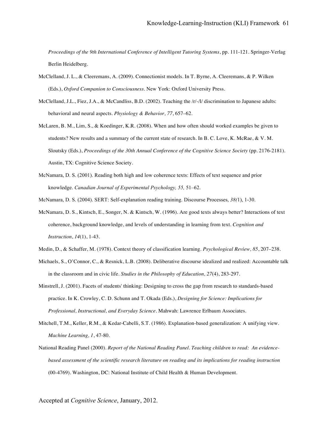*Proceedings of the 9th International Conference of Intelligent Tutoring Systems*, pp. 111-121. Springer-Verlag Berlin Heidelberg.

- McClelland, J. L., & Cleeremans, A. (2009). Connectionist models. In T. Byrne, A. Cleeremans, & P. Wilken (Eds.), *Oxford Companion to Consciousness.* New York: Oxford University Press.
- McClelland, J.L., Fiez, J.A., & McCandliss, B.D. (2002). Teaching the /r/-/l/ discrimination to Japanese adults: behavioral and neural aspects. *Physiology & Behavior, 77*, 657–62.
- McLaren, B. M., Lim, S., & Koedinger, K.R. (2008). When and how often should worked examples be given to students? New results and a summary of the current state of research. In B. C. Love, K. McRae, & V. M. Sloutsky (Eds.), *Proceedings of the 30th Annual Conference of the Cognitive Science Society (pp. 2176-2181)*. Austin, TX: Cognitive Science Society.
- McNamara, D. S. (2001). Reading both high and low coherence texts: Effects of text sequence and prior knowledge. *Canadian Journal of Experimental Psychology, 55,* 51–62.
- McNamara, D. S. (2004). SERT: Self-explanation reading training. Discourse Processes, *38(*1), 1-30.
- McNamara, D. S., Kintsch, E., Songer, N. & Kintsch, W. (1996). Are good texts always better? Interactions of text coherence, background knowledge, and levels of understanding in learning from text. *Cognition and Instruction*, *14*(1), 1-43.
- Medin, D., & Schaffer, M. (1978). Context theory of classification learning. *Psychological Review, 85*, 207–238.
- Michaels, S., O'Connor, C., & Resnick, L.B. (2008). Deliberative discourse idealized and realized: Accountable talk in the classroom and in civic life. *Studies in the Philosophy of Education, 27*(4), 283-297.
- Minstrell, J. (2001). Facets of students' thinking: Designing to cross the gap from research to standards-based practice. In K. Crowley, C. D. Schunn and T. Okada (Eds.), *Designing for Science: Implications for Professional, Instructional, and Everyday Science*. Mahwah: Lawrence Erlbaum Associates.
- Mitchell, T.M., Keller, R.M., & Kedar-Cabelli, S.T. (1986). Explanation-based generalization: A unifying view. *Machine Learning, 1*, 47-80.
- National Reading Panel (2000). *Report of the National Reading Panel. Teaching children to read: An evidencebased assessment of the scientific research literature on reading and its implications for reading instruction* (00-4769). Washington, DC: National Institute of Child Health & Human Development.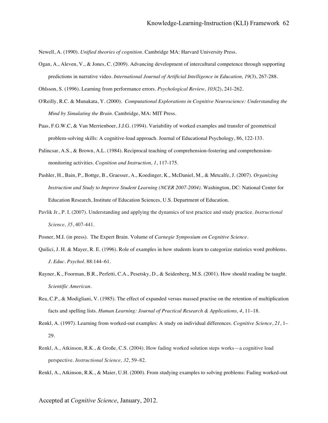Newell, A. (1990). *Unified theories of cognition.* Cambridge MA: Harvard University Press.

Ogan, A., Aleven, V., & Jones, C. (2009). Advancing development of intercultural competence through supporting predictions in narrative video. *International Journal of Artificial Intelligence in Education, 19*(3), 267-288.

Ohlsson, S. (1996). Learning from performance errors. *Psychological Review, 103*(2), 241-262.

- O'Reilly, R.C. & Munakata, Y. (2000). *Computational Explorations in Cognitive Neuroscience: Understanding the Mind by Simulating the Brain*. Cambridge, MA: MIT Press.
- Paas, F.G.W.C, & Van Merrienboer, J.J.G. (1994). Variability of worked examples and transfer of geometrical problem-solving skills: A cognitive-load approach. Journal of Educational Psychology, 86, 122-133.
- Palincsar, A.S., & Brown, A.L. (1984). Reciprocal teaching of comprehension-fostering and comprehensionmonitoring activities. *Cognition and Instruction, 1*, 117-175.
- Pashler, H., Bain, P., Bottge, B., Graesser, A., Koedinger, K., McDaniel, M., & Metcalfe, J. (2007). *Organizing Instruction and Study to Improve Student Learning (NCER 2007-2004)*. Washington, DC: National Center for Education Research, Institute of Education Sciences, U.S. Department of Education.
- Pavlik Jr., P. I. (2007). Understanding and applying the dynamics of test practice and study practice. *Instructional Science, 35*, 407-441.
- Posner, M.I. (in press). The Expert Brain. Volume of *Carnegie Symposium on Cognitive Science*.
- Quilici, J. H. & Mayer, R. E. (1996). Role of examples in how students learn to categorize statistics word problems. *J. Educ. Psychol.* 88:144–61.
- Rayner, K., Foorman, B.R., Perfetti, C.A., Pesetsky, D., & Seidenberg, M.S. (2001). How should reading be taught. *Scientific American*.
- Rea, C.P., & Modigliani, V. (1985). The effect of expanded versus massed practise on the retention of multiplication facts and spelling lists. *Human Learning: Journal of Practical Research & Applications, 4*, 11–18.
- Renkl, A. (1997). Learning from worked-out examples: A study on individual differences. *Cognitive Science*, *21*, 1– 29.
- Renkl, A., Atkinson, R.K., & Große, C.S. (2004). How fading worked solution steps works—a cognitive load perspective. *Instructional Science, 32*, 59–82.

Renkl, A., Atkinson, R.K., & Maier, U.H. (2000). From studying examples to solving problems: Fading worked-out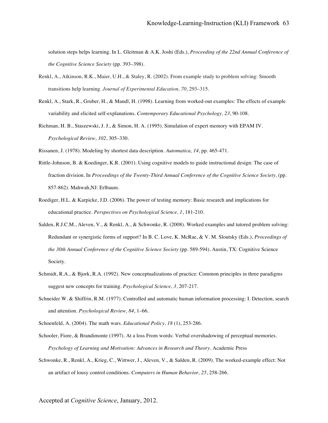solution steps helps learning. In L. Gleitman & A.K. Joshi (Eds.), *Proceeding of the 22nd Annual Conference of the Cognitive Science Society* (pp. 393–398).

- Renkl, A., Atkinson, R.K., Maier, U.H., & Staley, R. (2002). From example study to problem solving: Smooth transitions help learning. *Journal of Experimental Education, 70*, 293–315.
- Renkl, A., Stark, R., Gruber, H., & Mandl, H. (1998). Learning from worked-out examples: The effects of example variability and elicited self-explanations. *Contemporary Educational Psychology, 23*, 90-108.
- Richman, H. B., Staszewski, J. J., & Simon, H. A. (1995). Simulation of expert memory with EPAM IV. *Psychological Review, 102*, 305–330.
- Rissanen, J. (1978). Modeling by shortest data description. *Automatica, 14*, pp. 465-471.
- Rittle-Johnson, B. & Koedinger, K.R. (2001). Using cognitive models to guide instructional design: The case of fraction division. In *Proceedings of the Twenty-Third Annual Conference of the Cognitive Science Society*, (pp. 857-862). Mahwah,NJ: Erlbaum.
- Roediger, H.L. & Karpicke, J.D. (2006). The power of testing memory: Basic research and implications for educational practice. *Perspectives on Psychological Science, 1*, 181-210.
- Salden, R.J.C.M., Aleven, V., & Renkl, A., & Schwonke, R. (2008). Worked examples and tutored problem solving: Redundant or synergistic forms of support? In B. C. Love, K. McRae, & V. M. Sloutsky (Eds.), *Proceedings of the 30th Annual Conference of the Cognitive Science Society* (pp. 589-594). Austin, TX: Cognitive Science Society.
- Schmidt, R.A., & Bjork, R.A. (1992). New conceptualizations of practice: Common principles in three paradigms suggest new concepts for training. *Psychological Science, 3*, 207-217.
- Schneider W. & Shiffrin, R.M. (1977). Controlled and automatic human information processing: I. Detection, search and attention. *Psychological Review, 84*, 1–66.
- Schoenfeld, A. (2004). The math wars. *Educational Policy, 18* (1), 253-286.
- Schooler, Fiore, & Brandimonte (1997). At a loss From words: Verbal overshadowing of perceptual memories. *Psychology of Learning and Motivation: Advances in Research and Theory*. Academic Press
- Schwonke, R., Renkl, A., Krieg, C., Wittwer, J., Aleven, V., & Salden, R. (2009). The worked-example effect: Not an artifact of lousy control conditions. *Computers in Human Behavior, 25*, 258-266.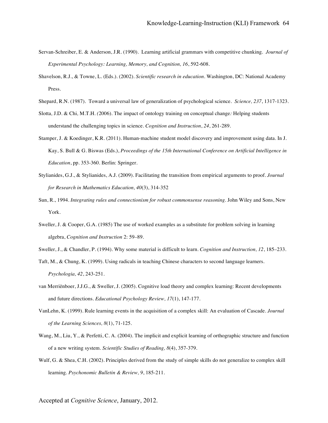- Servan-Schreiber, E. & Anderson, J.R. (1990). Learning artificial grammars with competitive chunking. *Journal of Experimental Psychology: Learning, Memory, and Cognition, 16*, 592-608.
- Shavelson, R.J., & Towne, L. (Eds.). (2002). *Scientific research in education.* Washington, DC: National Academy Press.
- Shepard, R.N. (1987). Toward a universal law of generalization of psychological science. *Science, 237*, 1317-1323.
- Slotta*,* J.D. & Chi*,* M.T.H. *(*2006). The impact of ontology training on conceptual change*:* Helping students understand the challenging topics in science*. Cognition and Instruction*, *24*, 261-289.
- Stamper, J. & Koedinger, K.R. (2011). Human-machine student model discovery and improvement using data. In J. Kay, S. Bull & G. Biswas (Eds.), *Proceedings of the 15th International Conference on Artificial Intelligence in Education*, pp. 353-360. Berlin: Springer.
- Stylianides, G.J., & Stylianides, A.J. (2009). Facilitating the transition from empirical arguments to proof. *Journal for Research in Mathematics Education, 40*(3), 314-352
- Sun, R., 1994. *Integrating rules and connectionism for robust commonsense reasoning*. John Wiley and Sons, New York.
- Sweller, J. & Cooper, G.A. (1985) The use of worked examples as a substitute for problem solving in learning algebra, *Cognition and Instruction* 2: 59–89.
- Sweller, J., & Chandler, P. (1994). Why some material is difficult to learn. *Cognition and Instruction, 12*, 185–233.
- Taft, M., & Chung, K. (1999). Using radicals in teaching Chinese characters to second language learners. *Psychologia, 42*, 243-251.
- van Merriënboer, J.J.G., & Sweller, J. (2005). Cognitive load theory and complex learning: Recent developments and future directions. *Educational Psychology Review, 17*(1), 147-177.
- VanLehn, K. (1999). Rule learning events in the acquisition of a complex skill: An evaluation of Cascade. *Journal of the Learning Sciences, 8*(1), 71-125.
- Wang, M., Liu, Y., & Perfetti, C. A. (2004). The implicit and explicit learning of orthographic structure and function of a new writing system. *Scientific Studies of Reading, 8*(4), 357-379*.*
- Wulf, G. & Shea, C.H. (2002). Principles derived from the study of simple skills do not generalize to complex skill learning. *Psychonomic Bulletin & Review, 9*, 185-211.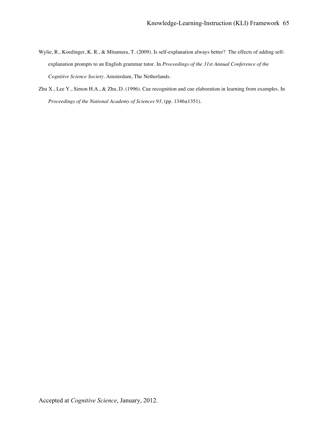- Wylie, R., Koedinger, K. R., & Mitamura, T. (2009). Is self-explanation always better? The effects of adding selfexplanation prompts to an English grammar tutor. In *Proceedings of the 31st Annual Conference of the Cognitive Science Society*. Amsterdam, The Netherlands.
- Zhu X., Lee Y., Simon H.A., & Zhu, D. (1996). Cue recognition and cue elaboration in learning from examples. In *Proceedings of the National Academy of Sciences 93*, (pp. 1346±1351).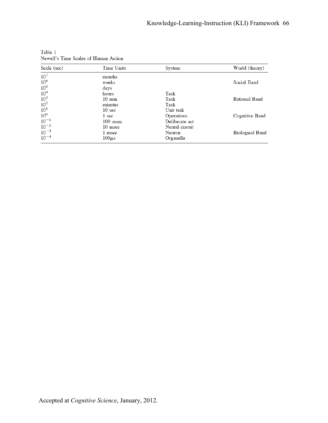| Scale (sec)     | Time Units       | System         | World (theory)  |
|-----------------|------------------|----------------|-----------------|
| $10^{7}$        | months           |                |                 |
| $10^{6}$        | weeks            |                | Social Band     |
| $10^{5}$        | days             |                |                 |
| $10^{4}$        | hours            | Task           |                 |
| $10^{3}$        | $10 \text{ min}$ | Task           | Rational Band   |
| $10^{2}$        | minutes          | Task           |                 |
| $10^{1}$        | $10 \text{ sec}$ | Unit task      |                 |
| 10 <sup>o</sup> | 1 sec            | Operations     | Cognitive Band  |
| $10^{-1}$       | $100$ msec       | Deliberate act |                 |
| $10^{-2}$       | 10 msec          | Neural circuit |                 |
| $10^{-3}$       | 1 msec           | Neuron         | Biological Band |
| $10^{-4}$       | $100 \mu s$      | Organelle      |                 |

Table 1 Newell's Time Scales of Human Action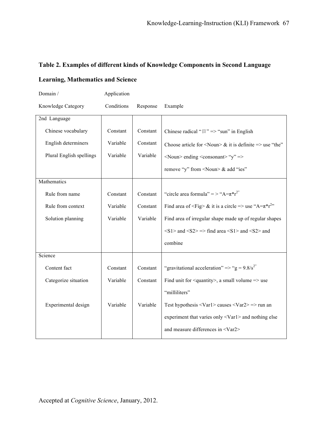# **Table 2. Examples of different kinds of Knowledge Components in Second Language**

# **Learning, Mathematics and Science**

| Domain /                 | Application |          |                                                                                                              |
|--------------------------|-------------|----------|--------------------------------------------------------------------------------------------------------------|
| Knowledge Category       | Conditions  | Response | Example                                                                                                      |
| 2nd Language             |             |          |                                                                                                              |
| Chinese vocabulary       | Constant    | Constant | Chinese radical " $\exists$ " => "sun" in English                                                            |
| English determiners      | Variable    | Constant | Choose article for <noun> &amp; it is definite =&gt; use "the"</noun>                                        |
| Plural English spellings | Variable    | Variable | <noun> ending <consonant> "y" =&gt;</consonant></noun>                                                       |
|                          |             |          | remove "y" from <noun> &amp; add "ies"</noun>                                                                |
| Mathematics              |             |          |                                                                                                              |
| Rule from name           | Constant    | Constant | "circle area formula" = > " $A = \pi^*r^2$ "                                                                 |
| Rule from context        | Variable    | Constant | Find area of <fig> &amp; it is a circle =&gt; use "<math>A = \pi^* r^{2}</math>"</fig>                       |
| Solution planning        | Variable    | Variable | Find area of irregular shape made up of regular shapes                                                       |
|                          |             |          | $\langle S1 \rangle$ and $\langle S2 \rangle$ => find area $\langle S1 \rangle$ and $\langle S2 \rangle$ and |
|                          |             |          | combine                                                                                                      |
| Science                  |             |          |                                                                                                              |
| Content fact             | Constant    | Constant | "gravitational acceleration" => "g = $9.8/s2$ "                                                              |
| Categorize situation     | Variable    | Constant | Find unit for $\langle$ quantity>, a small volume => use                                                     |
|                          |             |          | "milliliters"                                                                                                |
| Experimental design      | Variable    | Variable | Test hypothesis <varl> causes <var2> =&gt; run an</var2></varl>                                              |
|                          |             |          | experiment that varies only <varl> and nothing else</varl>                                                   |
|                          |             |          | and measure differences in <var2></var2>                                                                     |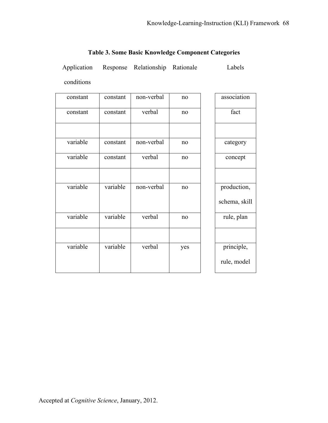| constant | constant | non-verbal | no  | association   |
|----------|----------|------------|-----|---------------|
| constant | constant | verbal     | no  | fact          |
|          |          |            |     |               |
| variable | constant | non-verbal | no  | category      |
| variable | constant | verbal     | no  | concept       |
|          |          |            |     |               |
| variable | variable | non-verbal | no  | production,   |
|          |          |            |     | schema, skill |
| variable | variable | verbal     | no  | rule, plan    |
|          |          |            |     |               |
| variable | variable | verbal     | yes | principle,    |
|          |          |            |     | rule, model   |

# **Table 3. Some Basic Knowledge Component Categories**

Response Relationship Rationale Labels

Accepted at *Cognitive Science*, January, 2012.

Application

conditions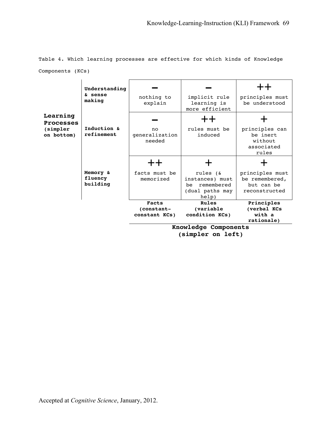|                                                        | Understanding<br>& sense<br>making | nothing to<br>explain                     | implicit rule<br>learning is<br>more efficient                               | $\boldsymbol{++}$<br>principles must<br>be understood            |
|--------------------------------------------------------|------------------------------------|-------------------------------------------|------------------------------------------------------------------------------|------------------------------------------------------------------|
| Learning<br><b>Processes</b><br>(simpler<br>on bottom) | Induction &<br>refinement          | no<br>generalization<br>needed            | rules must be<br>induced                                                     | principles can<br>be inert<br>without<br>associated<br>rules     |
|                                                        |                                    |                                           |                                                                              |                                                                  |
|                                                        | Memory &<br>fluency<br>building    | facts must be<br>memorized                | rules (&<br>instances) must<br>remembered<br>be.<br>(dual paths may<br>help) | principles must<br>be remembered,<br>but can be<br>reconstructed |
|                                                        |                                    | Facts<br>(constant-<br>constant KCs)      | Rules<br>(variable<br>condition KCs)                                         | Principles<br>(verbal KCs<br>with a<br>rationale)                |
|                                                        |                                    | Knowledge Components<br>(simpler on left) |                                                                              |                                                                  |

Table 4. Which learning processes are effective for which kinds of Knowledge Components (KCs)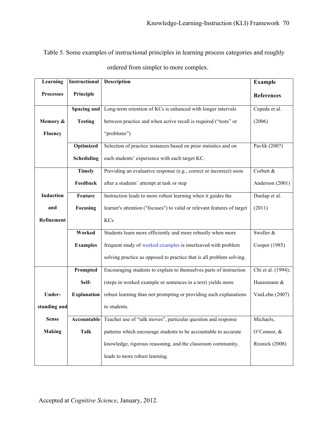Table 5. Some examples of instructional principles in learning process categories and roughly

| Learning         | Instructional      | <b>Description</b>                                                      | <b>Example</b>     |
|------------------|--------------------|-------------------------------------------------------------------------|--------------------|
| <b>Processes</b> | Principle          |                                                                         | <b>References</b>  |
|                  | Spacing and        | Long-term retention of KCs is enhanced with longer intervals            | Cepeda et al.      |
| Memory &         | <b>Testing</b>     | between practice and when active recall is required ("tests" or         | (2006)             |
| <b>Fluency</b>   |                    | "problems")                                                             |                    |
|                  | Optimized          | Selection of practice instances based on prior statistics and on        | Pavlik (2007)      |
|                  | <b>Scheduling</b>  | each students' experience with each target KC.                          |                    |
|                  | <b>Timely</b>      | Providing an evaluative response (e.g., correct or incorrect) soon      | Corbett &          |
|                  | Feedback           | after a students' attempt at task or step                               | Anderson (2001)    |
| <b>Induction</b> | Feature            | Instruction leads to more robust learning when it guides the            | Dunlap et al.      |
| and              | Focusing           | learner's attention ("focuses") to valid or relevant features of target | (2011)             |
| Refinement       |                    | <b>KCs</b>                                                              |                    |
|                  | Worked             | Students learn more efficiently and more robustly when more             | Sweller &          |
|                  | <b>Examples</b>    | frequent study of worked examples is interleaved with problem           | Cooper (1985)      |
|                  |                    | solving practice as opposed to practice that is all problem solving.    |                    |
|                  | Prompted           | Encouraging students to explain to themselves parts of instruction      | Chi et al. (1994); |
|                  | Self-              | (steps in worked example or sentences in a text) yields more            | Haussmann &        |
| Under-           | <b>Explanation</b> | robust learning than not prompting or providing such explanations       | VanLehn (2007)     |
| standing and     |                    | to students.                                                            |                    |
| <b>Sense</b>     | Accountable        | Teacher use of "talk moves", particular question and response           | Michaels,          |
| <b>Making</b>    | <b>Talk</b>        | patterns which encourage students to be accountable to accurate         | O'Connor, &        |
|                  |                    | knowledge, rigorous reasoning, and the classroom community,             | Resnick (2008)     |
|                  |                    | leads to more robust learning.                                          |                    |

ordered from simpler to more complex.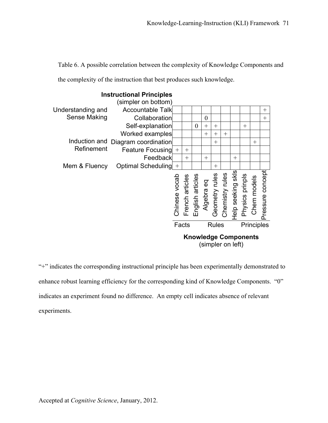Table 6. A possible correlation between the complexity of Knowledge Components and the complexity of the instruction that best produces such knowledge.



"+" indicates the corresponding instructional principle has been experimentally demonstrated to enhance robust learning efficiency for the corresponding kind of Knowledge Components. "0" indicates an experiment found no difference. An empty cell indicates absence of relevant experiments.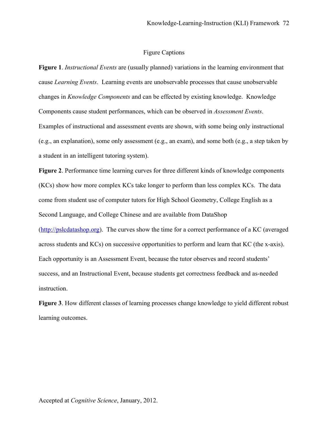### Figure Captions

**Figure 1**. *Instructional Events* are (usually planned) variations in the learning environment that cause *Learning Events*. Learning events are unobservable processes that cause unobservable changes in *Knowledge Components* and can be effected by existing knowledge. Knowledge Components cause student performances, which can be observed in *Assessment Events*. Examples of instructional and assessment events are shown, with some being only instructional (e.g., an explanation), some only assessment (e.g., an exam), and some both (e.g., a step taken by a student in an intelligent tutoring system).

**Figure 2**. Performance time learning curves for three different kinds of knowledge components (KCs) show how more complex KCs take longer to perform than less complex KCs. The data come from student use of computer tutors for High School Geometry, College English as a Second Language, and College Chinese and are available from DataShop

(http://pslcdatashop.org). The curves show the time for a correct performance of a KC (averaged across students and KCs) on successive opportunities to perform and learn that KC (the x-axis). Each opportunity is an Assessment Event, because the tutor observes and record students' success, and an Instructional Event, because students get correctness feedback and as-needed instruction.

**Figure 3**. How different classes of learning processes change knowledge to yield different robust learning outcomes.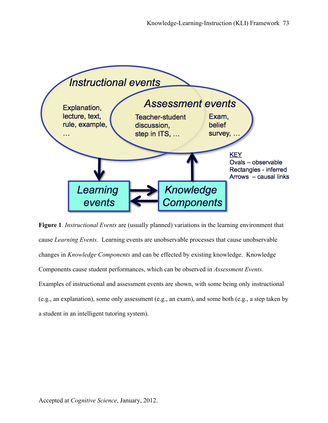

**Figure 1**. *Instructional Events* are (usually planned) variations in the learning environment that cause *Learning Events*. Learning events are unobservable processes that cause unobservable changes in *Knowledge Components* and can be effected by existing knowledge. Knowledge Components cause student performances, which can be observed in *Assessment Events*. Examples of instructional and assessment events are shown, with some being only instructional (e.g., an explanation), some only assessment (e.g., an exam), and some both (e.g., a step taken by a student in an intelligent tutoring system).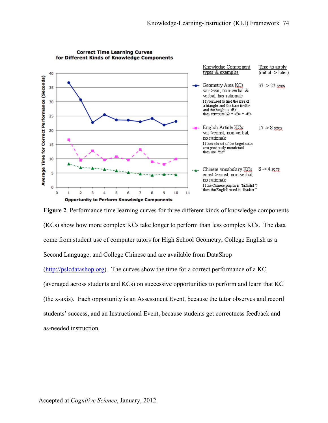



**Figure 2**. Performance time learning curves for three different kinds of knowledge components (KCs) show how more complex KCs take longer to perform than less complex KCs. The data come from student use of computer tutors for High School Geometry, College English as a Second Language, and College Chinese and are available from DataShop (http://pslcdatashop.org). The curves show the time for a correct performance of a KC (averaged across students and KCs) on successive opportunities to perform and learn that KC

(the x-axis). Each opportunity is an Assessment Event, because the tutor observes and record students' success, and an Instructional Event, because students get correctness feedback and

as-needed instruction.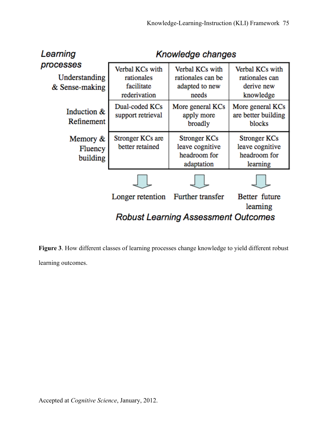| Learning                                     | Knowledge changes                                           |                                                                      |                                                                    |
|----------------------------------------------|-------------------------------------------------------------|----------------------------------------------------------------------|--------------------------------------------------------------------|
| processes<br>Understanding<br>& Sense-making | Verbal KCs with<br>rationales<br>facilitate<br>rederivation | Verbal KCs with<br>rationales can be<br>adapted to new<br>needs      | Verbal KCs with<br>rationales can<br>derive new<br>knowledge       |
| Induction &<br>Refinement                    | Dual-coded KCs<br>support retrieval                         | More general KCs<br>apply more<br>broadly                            | More general KCs<br>are better building<br>blocks                  |
| Memory &<br>Fluency<br>building              | Stronger KCs are<br>better retained                         | <b>Stronger KCs</b><br>leave cognitive<br>headroom for<br>adaptation | <b>Stronger KCs</b><br>leave cognitive<br>headroom for<br>learning |
|                                              |                                                             |                                                                      |                                                                    |
|                                              | Longer retention                                            | Further transfer                                                     | Better future<br>learning                                          |
| <b>Robust Learning Assessment Outcomes</b>   |                                                             |                                                                      |                                                                    |

**Figure 3**. How different classes of learning processes change knowledge to yield different robust learning outcomes.

Accepted at *Cognitive Science*, January, 2012.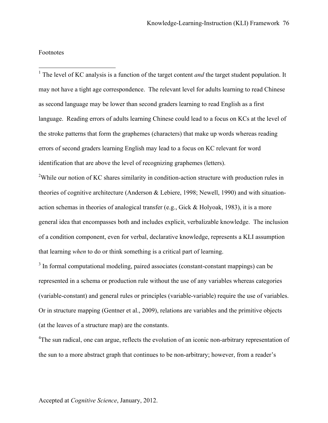## Footnotes

<sup>1</sup> The level of KC analysis is a function of the target content *and* the target student population. It may not have a tight age correspondence. The relevant level for adults learning to read Chinese as second language may be lower than second graders learning to read English as a first language. Reading errors of adults learning Chinese could lead to a focus on KCs at the level of the stroke patterns that form the graphemes (characters) that make up words whereas reading errors of second graders learning English may lead to a focus on KC relevant for word identification that are above the level of recognizing graphemes (letters).

<sup>2</sup>While our notion of KC shares similarity in condition-action structure with production rules in theories of cognitive architecture (Anderson & Lebiere, 1998; Newell, 1990) and with situationaction schemas in theories of analogical transfer (e.g., Gick & Holyoak, 1983), it is a more general idea that encompasses both and includes explicit, verbalizable knowledge. The inclusion of a condition component, even for verbal, declarative knowledge, represents a KLI assumption that learning *when* to do or think something is a critical part of learning.

<sup>3</sup> In formal computational modeling, paired associates (constant-constant mappings) can be represented in a schema or production rule without the use of any variables whereas categories (variable-constant) and general rules or principles (variable-variable) require the use of variables. Or in structure mapping (Gentner et al., 2009), relations are variables and the primitive objects (at the leaves of a structure map) are the constants.

<sup>4</sup>The sun radical, one can argue, reflects the evolution of an iconic non-arbitrary representation of the sun to a more abstract graph that continues to be non-arbitrary; however, from a reader's